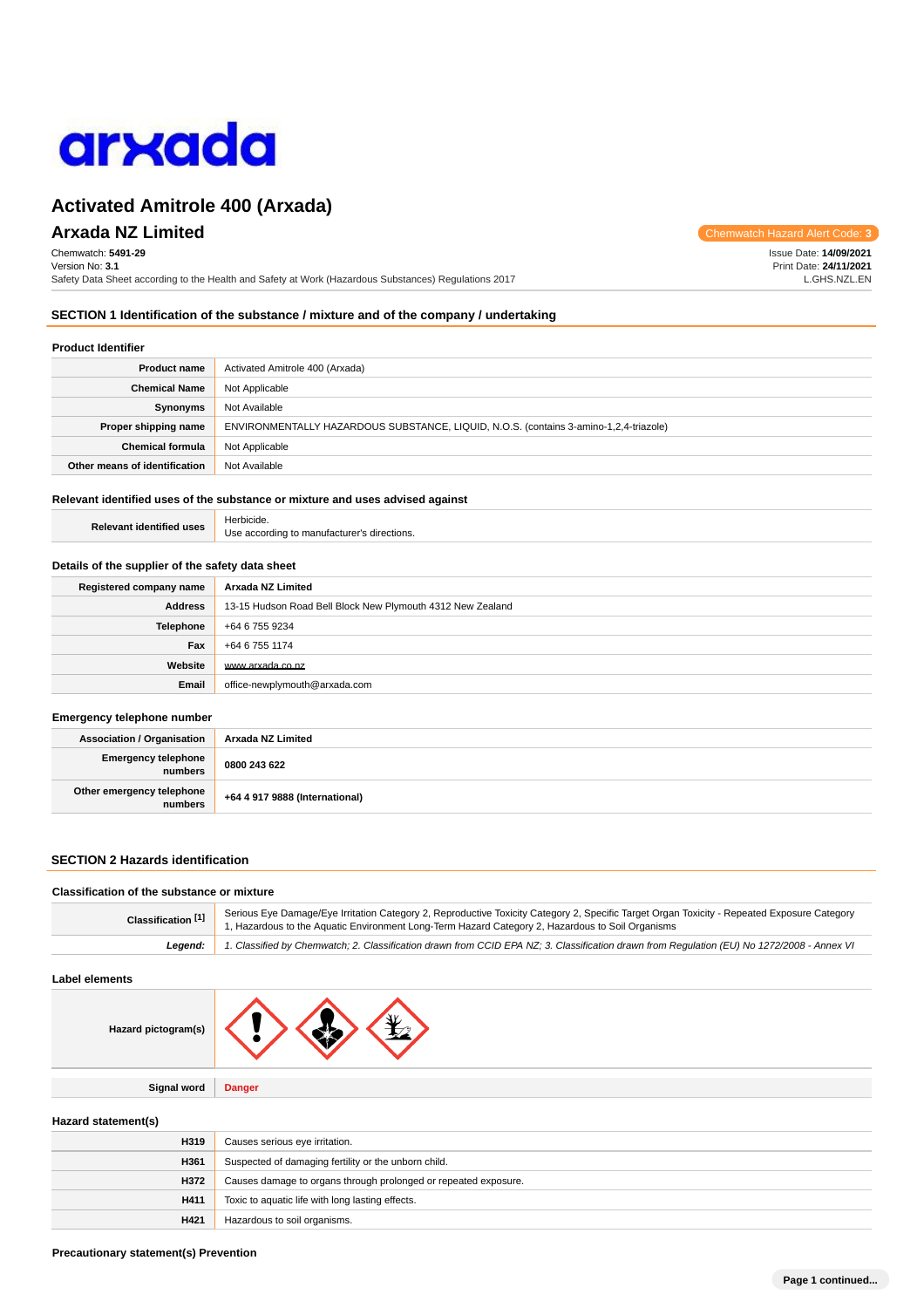

# **Arxada NZ Limited** Chemwatch Hazard Alert Code: **3**

Chemwatch: **5491-29** Version No: **3.1** Safety Data Sheet according to the Health and Safety at Work (Hazardous Substances) Regulations 2017

Issue Date: **14/09/2021** Print Date: **24/11/2021** L.GHS.NZL.EN

## **SECTION 1 Identification of the substance / mixture and of the company / undertaking**

## **Product Identifier**

| <b>Product name</b>           | Activated Amitrole 400 (Arxada)                                                       |
|-------------------------------|---------------------------------------------------------------------------------------|
| <b>Chemical Name</b>          | Not Applicable                                                                        |
| <b>Synonyms</b>               | Not Available                                                                         |
| Proper shipping name          | ENVIRONMENTALLY HAZARDOUS SUBSTANCE, LIQUID, N.O.S. (contains 3-amino-1,2,4-triazole) |
| <b>Chemical formula</b>       | Not Applicable                                                                        |
| Other means of identification | Not Available                                                                         |

## **Relevant identified uses of the substance or mixture and uses advised against**

| <b>Relevant identified uses</b> | Herbicide.                                  |
|---------------------------------|---------------------------------------------|
|                                 | Use according to manufacturer's directions. |

#### **Details of the supplier of the safety data sheet**

| Registered company name | Arxada NZ Limited                                          |
|-------------------------|------------------------------------------------------------|
| Address                 | 13-15 Hudson Road Bell Block New Plymouth 4312 New Zealand |
| <b>Telephone</b>        | +64 6 755 9234                                             |
| Fax                     | +64 6 755 1174                                             |
| Website                 | www.arxada.co.nz                                           |
| Email                   | office-newplymouth@arxada.com                              |

#### **Emergency telephone number**

| <b>Association / Organisation</b>    | Arxada NZ Limited              |
|--------------------------------------|--------------------------------|
| Emergency telephone<br>numbers       | 0800 243 622                   |
| Other emergency telephone<br>numbers | +64 4 917 9888 (International) |

## **SECTION 2 Hazards identification**

## **Classification of the substance or mixture**

| Classification <sup>[1]</sup> | Serious Eye Damage/Eye Irritation Category 2, Reproductive Toxicity Category 2, Specific Target Organ Toxicity - Repeated Exposure Category<br>1. Hazardous to the Aquatic Environment Long-Term Hazard Category 2, Hazardous to Soil Organisms |  |
|-------------------------------|-------------------------------------------------------------------------------------------------------------------------------------------------------------------------------------------------------------------------------------------------|--|
| Leaend:                       | 1. Classified by Chemwatch; 2. Classification drawn from CCID EPA NZ; 3. Classification drawn from Regulation (EU) No 1272/2008 - Annex VI                                                                                                      |  |

## **Label elements**

| Hazard pictogram(s) |               |
|---------------------|---------------|
|                     |               |
| <b>Signal word</b>  | <b>Danger</b> |

## **Hazard statement(s)**

| H319 | Causes serious eye irritation.                                  |
|------|-----------------------------------------------------------------|
| H361 | Suspected of damaging fertility or the unborn child.            |
| H372 | Causes damage to organs through prolonged or repeated exposure. |
| H411 | Toxic to aquatic life with long lasting effects.                |
| H421 | Hazardous to soil organisms.                                    |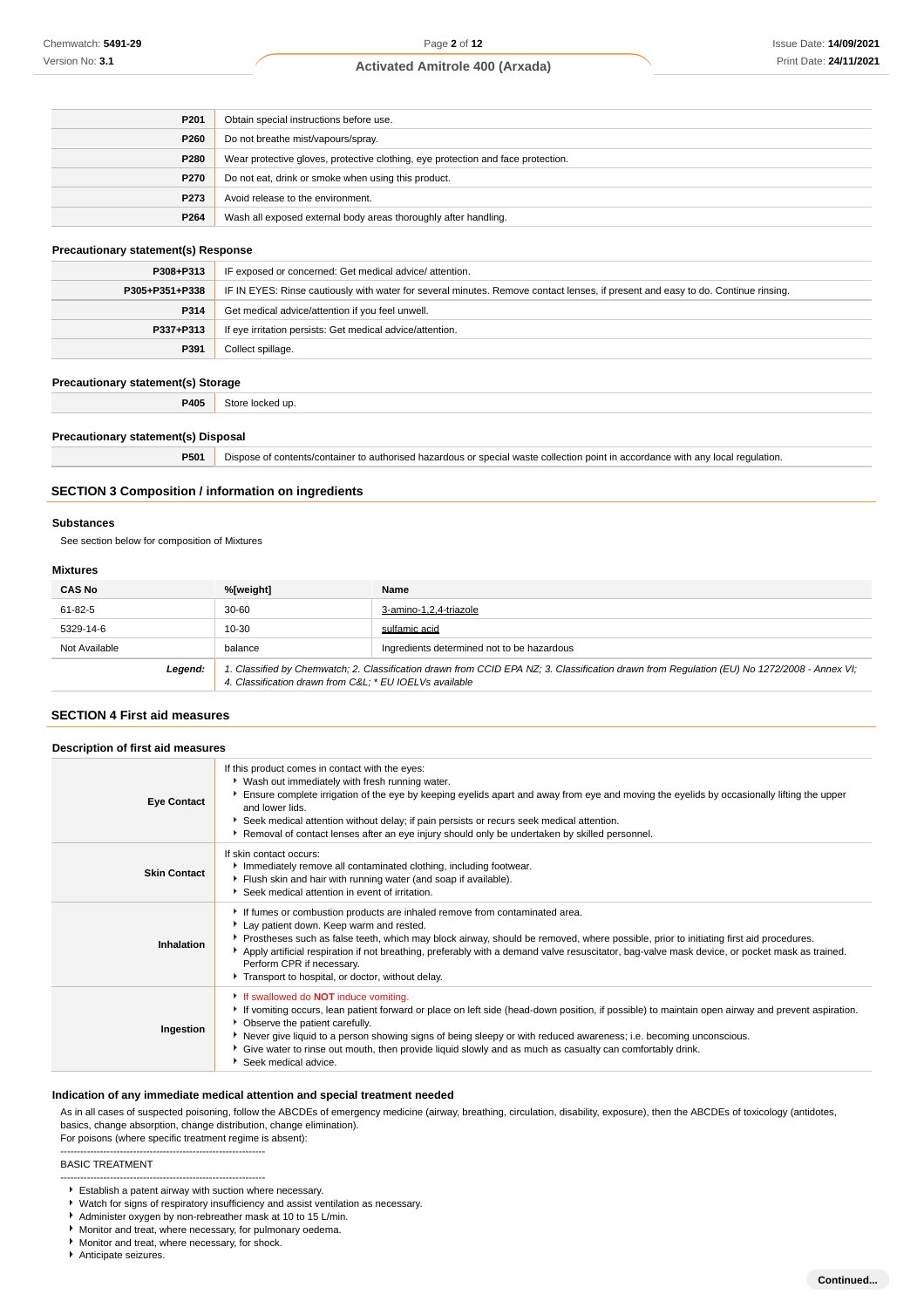| P <sub>201</sub> | Obtain special instructions before use.                                          |
|------------------|----------------------------------------------------------------------------------|
| P260             | Do not breathe mist/vapours/spray.                                               |
| <b>P280</b>      | Wear protective gloves, protective clothing, eye protection and face protection. |
| <b>P270</b>      | Do not eat, drink or smoke when using this product.                              |
| P273             | Avoid release to the environment.                                                |
| P264             | Wash all exposed external body areas thoroughly after handling.                  |

## **Precautionary statement(s) Response**

| P308+P313      | IF exposed or concerned: Get medical advice/attention.                                                                           |
|----------------|----------------------------------------------------------------------------------------------------------------------------------|
| P305+P351+P338 | IF IN EYES: Rinse cautiously with water for several minutes. Remove contact lenses, if present and easy to do. Continue rinsing. |
| P314           | Get medical advice/attention if you feel unwell.                                                                                 |
| P337+P313      | If eye irritation persists: Get medical advice/attention.                                                                        |
| P391           | Collect spillage.                                                                                                                |

## **Precautionary statement(s) Storage**

**P405** Store locked up.

#### **Precautionary statement(s) Disposal**

**P501** Dispose of contents/container to authorised hazardous or special waste collection point in accordance with any local regulation.

#### **SECTION 3 Composition / information on ingredients**

## **Substances**

See section below for composition of Mixtures

## **Mixtures**

| <b>CAS No</b> | %[weight]                                              | Name                                                                                                                                        |
|---------------|--------------------------------------------------------|---------------------------------------------------------------------------------------------------------------------------------------------|
| 61-82-5       | 30-60                                                  | 3-amino-1,2,4-triazole                                                                                                                      |
| 5329-14-6     | 10-30                                                  | sulfamic acid                                                                                                                               |
| Not Available | balance                                                | Ingredients determined not to be hazardous                                                                                                  |
| Legend:       | 4. Classification drawn from C&L * EU IOELVs available | 1. Classified by Chemwatch; 2. Classification drawn from CCID EPA NZ; 3. Classification drawn from Regulation (EU) No 1272/2008 - Annex VI; |

## **SECTION 4 First aid measures**

| Description of first aid measures |                                                                                                                                                                                                                                                                                                                                                                                                                                                                                                   |  |
|-----------------------------------|---------------------------------------------------------------------------------------------------------------------------------------------------------------------------------------------------------------------------------------------------------------------------------------------------------------------------------------------------------------------------------------------------------------------------------------------------------------------------------------------------|--|
| <b>Eye Contact</b>                | If this product comes in contact with the eyes:<br>• Wash out immediately with fresh running water.<br>Ensure complete irrigation of the eye by keeping eyelids apart and away from eye and moving the eyelids by occasionally lifting the upper<br>and lower lids.<br>Seek medical attention without delay; if pain persists or recurs seek medical attention.<br>Example 1 Removal of contact lenses after an eye injury should only be undertaken by skilled personnel.                        |  |
| <b>Skin Contact</b>               | If skin contact occurs:<br>Immediately remove all contaminated clothing, including footwear.<br>Flush skin and hair with running water (and soap if available).<br>Seek medical attention in event of irritation.                                                                                                                                                                                                                                                                                 |  |
| Inhalation                        | If fumes or combustion products are inhaled remove from contaminated area.<br>Lay patient down. Keep warm and rested.<br>▶ Prostheses such as false teeth, which may block airway, should be removed, where possible, prior to initiating first aid procedures.<br>Apply artificial respiration if not breathing, preferably with a demand valve resuscitator, bag-valve mask device, or pocket mask as trained.<br>Perform CPR if necessary.<br>Transport to hospital, or doctor, without delay. |  |
| Ingestion                         | If swallowed do <b>NOT</b> induce vomiting.<br>▶ If vomiting occurs, lean patient forward or place on left side (head-down position, if possible) to maintain open airway and prevent aspiration.<br>• Observe the patient carefully.<br>Never give liquid to a person showing signs of being sleepy or with reduced awareness; i.e. becoming unconscious.<br>• Give water to rinse out mouth, then provide liquid slowly and as much as casualty can comfortably drink.<br>Seek medical advice.  |  |

## **Indication of any immediate medical attention and special treatment needed**

As in all cases of suspected poisoning, follow the ABCDEs of emergency medicine (airway, breathing, circulation, disability, exposure), then the ABCDEs of toxicology (antidotes, basics, change absorption, change distribution, change elimination).

#### For poisons (where specific treatment regime is absent): --------------------------------------------------------------

## BASIC TREATMENT

- Watch for signs of respiratory insufficiency and assist ventilation as necessary.
- Administer oxygen by non-rebreather mask at 10 to 15 L/min.
- Monitor and treat, where necessary, for pulmonary oedema.
- Monitor and treat, where necessary, for shock.
- Anticipate seizures.

<sup>--------------------------------------------------------------</sup> Establish a patent airway with suction where necessary.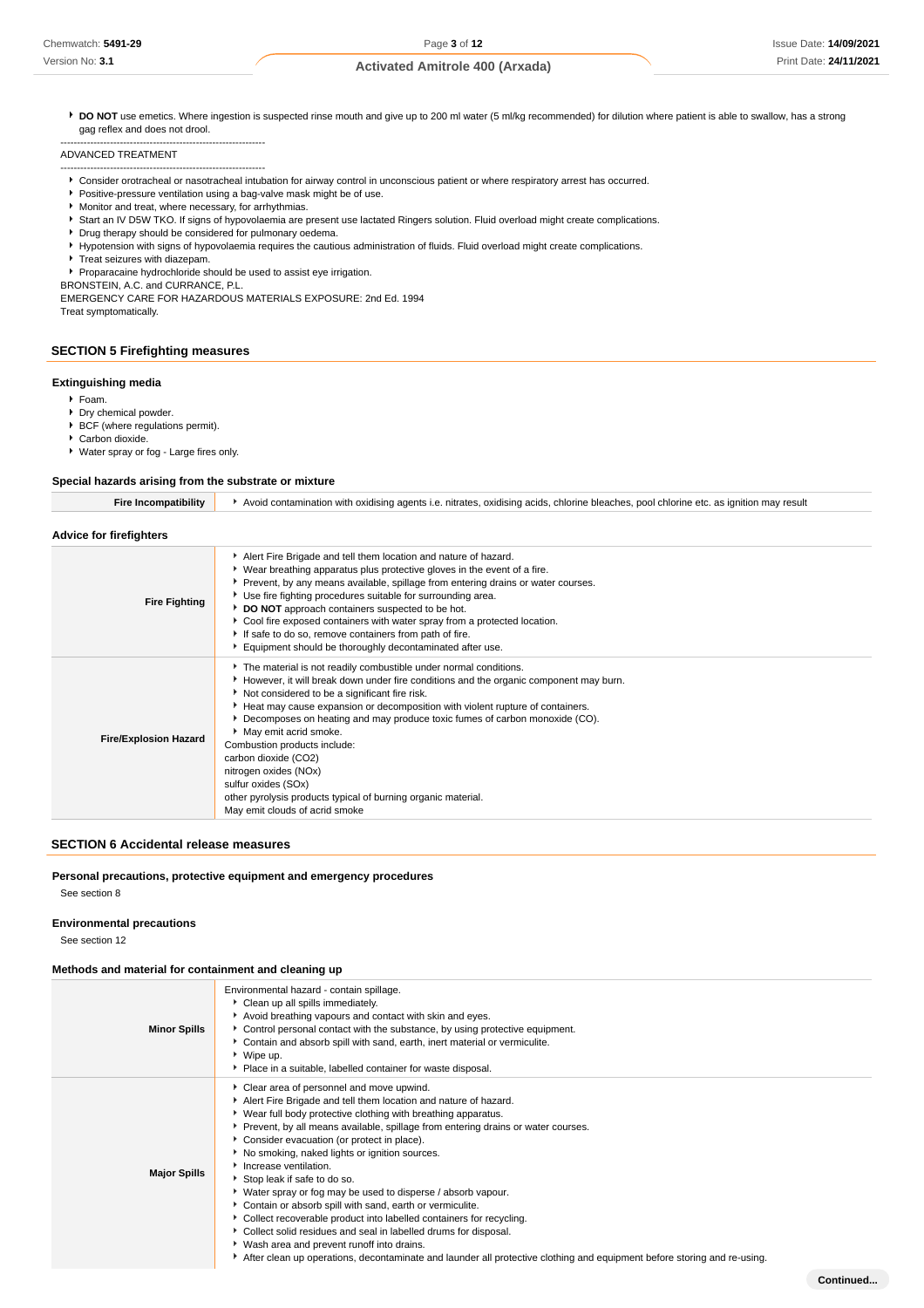▶ DO NOT use emetics. Where ingestion is suspected rinse mouth and give up to 200 ml water (5 ml/kg recommended) for dilution where patient is able to swallow, has a strong gag reflex and does not drool.

ADVANCED TREATMENT

- -------------------------------------------------------------- Consider orotracheal or nasotracheal intubation for airway control in unconscious patient or where respiratory arrest has occurred.
- **Positive-pressure ventilation using a bag-valve mask might be of use.**
- $\blacktriangleright$  Monitor and treat, where necessary, for arrhythmias.
- Start an IV D5W TKO. If signs of hypovolaemia are present use lactated Ringers solution. Fluid overload might create complications.
- Drug therapy should be considered for pulmonary oedema.
- Hypotension with signs of hypovolaemia requires the cautious administration of fluids. Fluid overload might create complications.
- Treat seizures with diazepam.
- Proparacaine hydrochloride should be used to assist eye irrigation.
- BRONSTEIN, A.C. and CURRANCE, P.L.

--------------------------------------------------------------

EMERGENCY CARE FOR HAZARDOUS MATERIALS EXPOSURE: 2nd Ed. 1994 Treat symptomatically.

## **SECTION 5 Firefighting measures**

## **Extinguishing media**

- Foam.
- **Dry chemical powder.**
- **BCF** (where regulations permit).
- Carbon dioxide.
- Water spray or fog Large fires only.

## **Special hazards arising from the substrate or mixture**

| Fire Incompatibility           | Avoid contamination with oxidising agents i.e. nitrates, oxidising acids, chlorine bleaches, pool chlorine etc. as ignition may result |
|--------------------------------|----------------------------------------------------------------------------------------------------------------------------------------|
|                                |                                                                                                                                        |
| <b>Advice for firefighters</b> |                                                                                                                                        |

| <b>Fire Fighting</b>         | Alert Fire Brigade and tell them location and nature of hazard.<br>• Wear breathing apparatus plus protective gloves in the event of a fire.<br>▶ Prevent, by any means available, spillage from entering drains or water courses.<br>Use fire fighting procedures suitable for surrounding area.<br>DO NOT approach containers suspected to be hot.<br>Cool fire exposed containers with water spray from a protected location.<br>If safe to do so, remove containers from path of fire.<br>Equipment should be thoroughly decontaminated after use.                                                          |
|------------------------------|-----------------------------------------------------------------------------------------------------------------------------------------------------------------------------------------------------------------------------------------------------------------------------------------------------------------------------------------------------------------------------------------------------------------------------------------------------------------------------------------------------------------------------------------------------------------------------------------------------------------|
| <b>Fire/Explosion Hazard</b> | The material is not readily combustible under normal conditions.<br>However, it will break down under fire conditions and the organic component may burn.<br>Not considered to be a significant fire risk.<br>Heat may cause expansion or decomposition with violent rupture of containers.<br>▶ Decomposes on heating and may produce toxic fumes of carbon monoxide (CO).<br>May emit acrid smoke.<br>Combustion products include:<br>carbon dioxide (CO2)<br>nitrogen oxides (NOx)<br>sulfur oxides (SOx)<br>other pyrolysis products typical of burning organic material.<br>May emit clouds of acrid smoke |

## **SECTION 6 Accidental release measures**

**Personal precautions, protective equipment and emergency procedures**

See section 8

#### **Environmental precautions**

See section 12

#### **Methods and material for containment and cleaning up**

| <b>Minor Spills</b> | Environmental hazard - contain spillage.<br>Clean up all spills immediately.<br>Avoid breathing vapours and contact with skin and eyes.<br>Control personal contact with the substance, by using protective equipment.<br>Contain and absorb spill with sand, earth, inert material or vermiculite.<br>▶ Wipe up.<br>• Place in a suitable, labelled container for waste disposal.                                                                                                                                                                                                                                                                                                                                                                                                                                                                                            |
|---------------------|-------------------------------------------------------------------------------------------------------------------------------------------------------------------------------------------------------------------------------------------------------------------------------------------------------------------------------------------------------------------------------------------------------------------------------------------------------------------------------------------------------------------------------------------------------------------------------------------------------------------------------------------------------------------------------------------------------------------------------------------------------------------------------------------------------------------------------------------------------------------------------|
| <b>Major Spills</b> | Clear area of personnel and move upwind.<br>Alert Fire Brigade and tell them location and nature of hazard.<br>▶ Wear full body protective clothing with breathing apparatus.<br>▶ Prevent, by all means available, spillage from entering drains or water courses.<br>Consider evacuation (or protect in place).<br>No smoking, naked lights or ignition sources.<br>Increase ventilation.<br>Stop leak if safe to do so.<br>▶ Water spray or fog may be used to disperse / absorb vapour.<br>Contain or absorb spill with sand, earth or vermiculite.<br>• Collect recoverable product into labelled containers for recycling.<br>Collect solid residues and seal in labelled drums for disposal.<br>• Wash area and prevent runoff into drains.<br>After clean up operations, decontaminate and launder all protective clothing and equipment before storing and re-using. |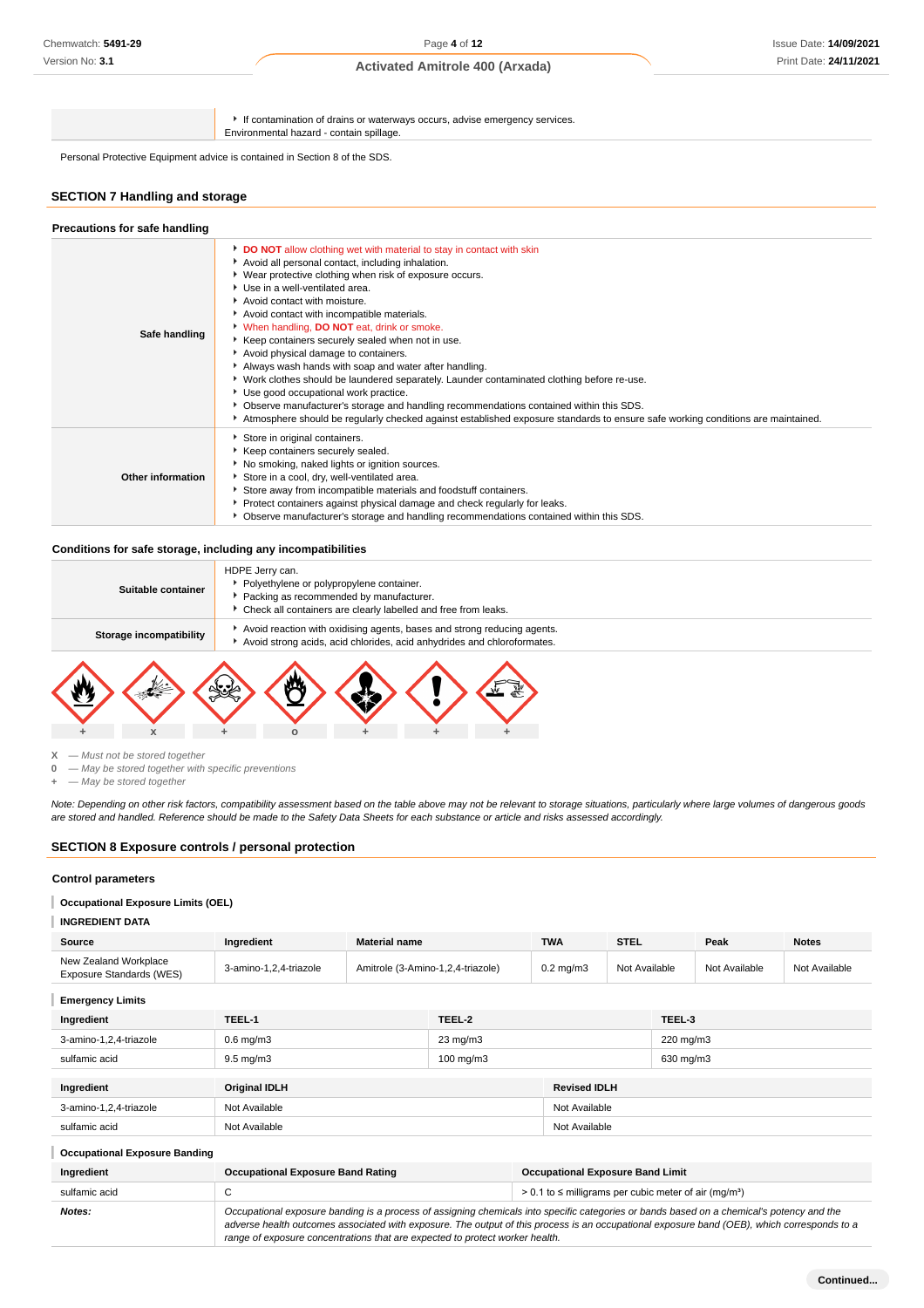If contamination of drains or waterways occurs, advise emergency services. Environmental hazard - contain spillage.

Personal Protective Equipment advice is contained in Section 8 of the SDS.

## **SECTION 7 Handling and storage**

| Safe handling            | DO NOT allow clothing wet with material to stay in contact with skin<br>Avoid all personal contact, including inhalation.<br>• Wear protective clothing when risk of exposure occurs.<br>▶ Use in a well-ventilated area.<br>Avoid contact with moisture.<br>Avoid contact with incompatible materials.<br>V When handling, <b>DO NOT</b> eat, drink or smoke.<br>Keep containers securely sealed when not in use.<br>Avoid physical damage to containers.<br>Always wash hands with soap and water after handling.<br>• Work clothes should be laundered separately. Launder contaminated clothing before re-use.<br>▶ Use good occupational work practice.<br>▶ Observe manufacturer's storage and handling recommendations contained within this SDS.<br>Atmosphere should be regularly checked against established exposure standards to ensure safe working conditions are maintained. |
|--------------------------|---------------------------------------------------------------------------------------------------------------------------------------------------------------------------------------------------------------------------------------------------------------------------------------------------------------------------------------------------------------------------------------------------------------------------------------------------------------------------------------------------------------------------------------------------------------------------------------------------------------------------------------------------------------------------------------------------------------------------------------------------------------------------------------------------------------------------------------------------------------------------------------------|
| <b>Other information</b> | Store in original containers.<br>Keep containers securely sealed.<br>▶ No smoking, naked lights or ignition sources.<br>Store in a cool, dry, well-ventilated area.<br>Store away from incompatible materials and foodstuff containers.<br>Protect containers against physical damage and check regularly for leaks.<br>▶ Observe manufacturer's storage and handling recommendations contained within this SDS.                                                                                                                                                                                                                                                                                                                                                                                                                                                                            |

#### **Conditions for safe storage, including any incompatibilities**

| Storage incompatibility |                                                                                                                                                                            |  | Avoid strong acids, acid chlorides, acid anhydrides and chloroformates. |  |
|-------------------------|----------------------------------------------------------------------------------------------------------------------------------------------------------------------------|--|-------------------------------------------------------------------------|--|
|                         |                                                                                                                                                                            |  | Avoid reaction with oxidising agents, bases and strong reducing agents. |  |
| Suitable container      | HDPE Jerry can.<br>Polyethylene or polypropylene container.<br>Packing as recommended by manufacturer.<br>• Check all containers are clearly labelled and free from leaks. |  |                                                                         |  |



**X** — Must not be stored together

**0** — May be stored together with specific preventions

**+** — May be stored together

Note: Depending on other risk factors, compatibility assessment based on the table above may not be relevant to storage situations, particularly where large volumes of dangerous goods are stored and handled. Reference should be made to the Safety Data Sheets for each substance or article and risks assessed accordingly.

## **SECTION 8 Exposure controls / personal protection**

## **Control parameters**

#### T **Occupational Exposure Limits (OEL)**

**INGREDIENT DATA**

| Source                                            | Ingredient                                                                                                                                                                                                                                                                                                                                                               | <b>Material name</b> |                   |  | <b>TWA</b>                                                               | <b>STEL</b>   |           | Peak          | <b>Notes</b>  |
|---------------------------------------------------|--------------------------------------------------------------------------------------------------------------------------------------------------------------------------------------------------------------------------------------------------------------------------------------------------------------------------------------------------------------------------|----------------------|-------------------|--|--------------------------------------------------------------------------|---------------|-----------|---------------|---------------|
| New Zealand Workplace<br>Exposure Standards (WES) | 3-amino-1,2,4-triazole<br>Amitrole (3-Amino-1,2,4-triazole)                                                                                                                                                                                                                                                                                                              |                      |                   |  | $0.2 \text{ mg/m}$ 3                                                     | Not Available |           | Not Available | Not Available |
| <b>Emergency Limits</b>                           |                                                                                                                                                                                                                                                                                                                                                                          |                      |                   |  |                                                                          |               |           |               |               |
| Ingredient                                        | TEEL-1                                                                                                                                                                                                                                                                                                                                                                   |                      | TEEL-2            |  |                                                                          |               | TEEL-3    |               |               |
| 3-amino-1,2,4-triazole                            | $0.6$ mg/m $3$                                                                                                                                                                                                                                                                                                                                                           |                      | $23 \text{ mg/m}$ |  |                                                                          |               | 220 mg/m3 |               |               |
| sulfamic acid                                     | $9.5 \text{ mg/m}$ 3                                                                                                                                                                                                                                                                                                                                                     | $100 \text{ mg/m}$ 3 |                   |  |                                                                          | 630 mg/m3     |           |               |               |
| Ingredient                                        | <b>Original IDLH</b><br><b>Revised IDLH</b>                                                                                                                                                                                                                                                                                                                              |                      |                   |  |                                                                          |               |           |               |               |
| 3-amino-1,2,4-triazole                            | Not Available                                                                                                                                                                                                                                                                                                                                                            |                      |                   |  | Not Available                                                            |               |           |               |               |
| sulfamic acid                                     | Not Available                                                                                                                                                                                                                                                                                                                                                            |                      |                   |  | Not Available                                                            |               |           |               |               |
| <b>Occupational Exposure Banding</b>              |                                                                                                                                                                                                                                                                                                                                                                          |                      |                   |  |                                                                          |               |           |               |               |
| Ingredient                                        | <b>Occupational Exposure Band Rating</b>                                                                                                                                                                                                                                                                                                                                 |                      |                   |  | <b>Occupational Exposure Band Limit</b>                                  |               |           |               |               |
| sulfamic acid                                     | С                                                                                                                                                                                                                                                                                                                                                                        |                      |                   |  | $> 0.1$ to $\leq$ milligrams per cubic meter of air (mg/m <sup>3</sup> ) |               |           |               |               |
| Notes:                                            | Occupational exposure banding is a process of assigning chemicals into specific categories or bands based on a chemical's potency and the<br>adverse health outcomes associated with exposure. The output of this process is an occupational exposure band (OEB), which corresponds to a<br>range of exposure concentrations that are expected to protect worker health. |                      |                   |  |                                                                          |               |           |               |               |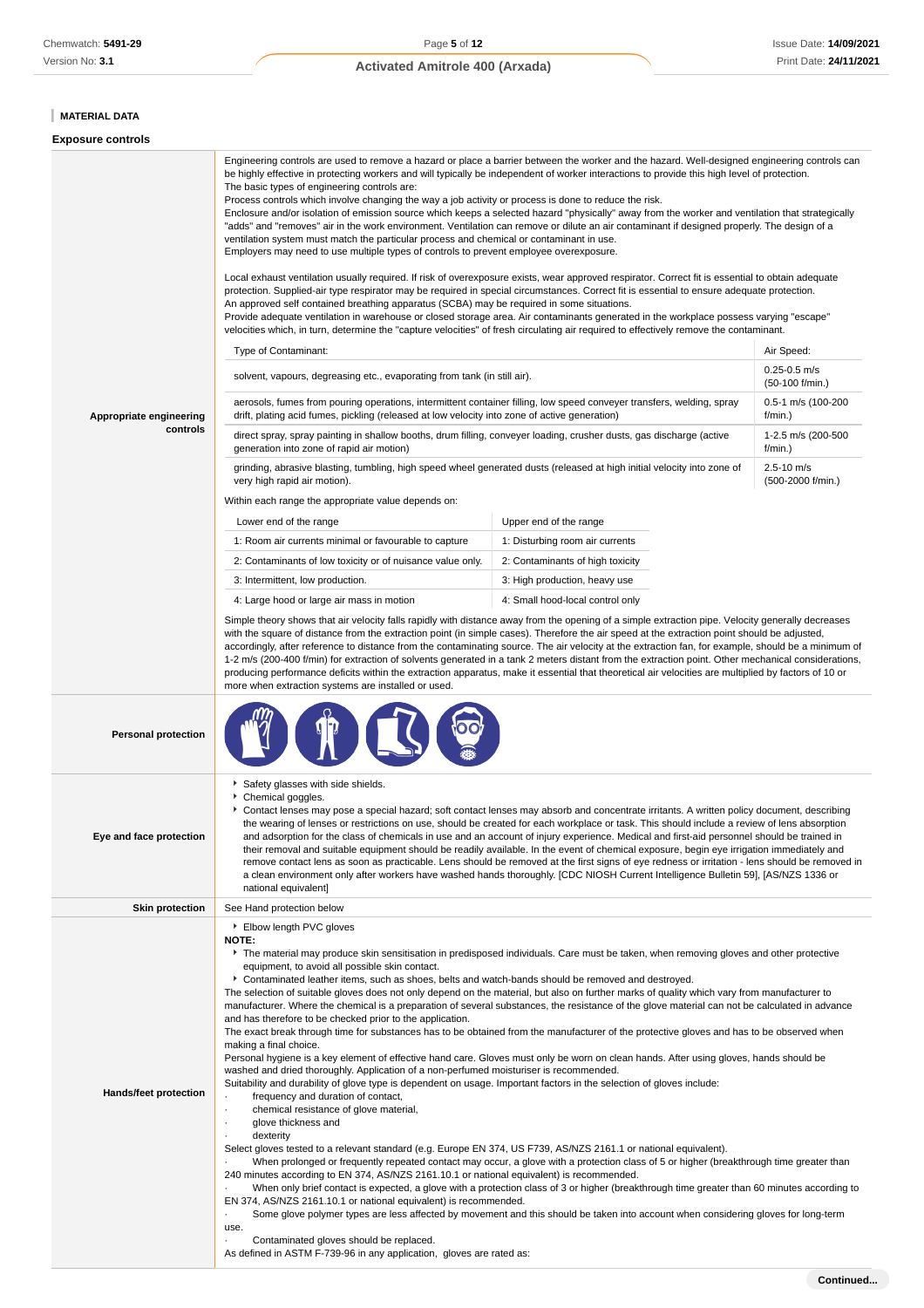# **MATERIAL DATA**

## **Exposure controls**

| Appropriate engineering<br>controls | be highly effective in protecting workers and will typically be independent of worker interactions to provide this high level of protection.<br>The basic types of engineering controls are:<br>Process controls which involve changing the way a job activity or process is done to reduce the risk.<br>Enclosure and/or isolation of emission source which keeps a selected hazard "physically" away from the worker and ventilation that strategically<br>"adds" and "removes" air in the work environment. Ventilation can remove or dilute an air contaminant if designed properly. The design of a<br>ventilation system must match the particular process and chemical or contaminant in use.<br>Employers may need to use multiple types of controls to prevent employee overexposure.<br>Local exhaust ventilation usually required. If risk of overexposure exists, wear approved respirator. Correct fit is essential to obtain adequate<br>protection. Supplied-air type respirator may be required in special circumstances. Correct fit is essential to ensure adequate protection.<br>An approved self contained breathing apparatus (SCBA) may be required in some situations.<br>Provide adequate ventilation in warehouse or closed storage area. Air contaminants generated in the workplace possess varying "escape"<br>velocities which, in turn, determine the "capture velocities" of fresh circulating air required to effectively remove the contaminant.<br>Type of Contaminant:<br>Air Speed:<br>$0.25 - 0.5$ m/s<br>solvent, vapours, degreasing etc., evaporating from tank (in still air).<br>(50-100 f/min.)<br>aerosols, fumes from pouring operations, intermittent container filling, low speed conveyer transfers, welding, spray<br>0.5-1 m/s (100-200<br>drift, plating acid fumes, pickling (released at low velocity into zone of active generation)<br>f/min.)<br>direct spray, spray painting in shallow booths, drum filling, conveyer loading, crusher dusts, gas discharge (active<br>1-2.5 m/s (200-500<br>generation into zone of rapid air motion)<br>f/min.)<br>$2.5 - 10$ m/s<br>grinding, abrasive blasting, tumbling, high speed wheel generated dusts (released at high initial velocity into zone of<br>(500-2000 f/min.)<br>very high rapid air motion).<br>Within each range the appropriate value depends on:<br>Upper end of the range<br>Lower end of the range<br>1: Room air currents minimal or favourable to capture<br>1: Disturbing room air currents<br>2: Contaminants of low toxicity or of nuisance value only.<br>2: Contaminants of high toxicity<br>3: Intermittent, low production.<br>3: High production, heavy use<br>4: Large hood or large air mass in motion<br>4: Small hood-local control only<br>Simple theory shows that air velocity falls rapidly with distance away from the opening of a simple extraction pipe. Velocity generally decreases<br>with the square of distance from the extraction point (in simple cases). Therefore the air speed at the extraction point should be adjusted,<br>accordingly, after reference to distance from the contaminating source. The air velocity at the extraction fan, for example, should be a minimum of<br>1-2 m/s (200-400 f/min) for extraction of solvents generated in a tank 2 meters distant from the extraction point. Other mechanical considerations,<br>producing performance deficits within the extraction apparatus, make it essential that theoretical air velocities are multiplied by factors of 10 or |                                                                                                                                                                                                                                                                                                                                                                                                                              |  |  |
|-------------------------------------|----------------------------------------------------------------------------------------------------------------------------------------------------------------------------------------------------------------------------------------------------------------------------------------------------------------------------------------------------------------------------------------------------------------------------------------------------------------------------------------------------------------------------------------------------------------------------------------------------------------------------------------------------------------------------------------------------------------------------------------------------------------------------------------------------------------------------------------------------------------------------------------------------------------------------------------------------------------------------------------------------------------------------------------------------------------------------------------------------------------------------------------------------------------------------------------------------------------------------------------------------------------------------------------------------------------------------------------------------------------------------------------------------------------------------------------------------------------------------------------------------------------------------------------------------------------------------------------------------------------------------------------------------------------------------------------------------------------------------------------------------------------------------------------------------------------------------------------------------------------------------------------------------------------------------------------------------------------------------------------------------------------------------------------------------------------------------------------------------------------------------------------------------------------------------------------------------------------------------------------------------------------------------------------------------------------------------------------------------------------------------------------------------------------------------------------------------------------------------------------------------------------------------------------------------------------------------------------------------------------------------------------------------------------------------------------------------------------------------------------------------------------------------------------------------------------------------------------------------------------------------------------------------------------------------------------------------------------------------------------------------------------------------------------------------------------------------------------------------------------------------------------------------------------------------------------------------------------------------------------------------------------------------------------------------------------------------------------------------------------------------------------------------------------------------------------------------------------------------------------------------------------------------------------------------------|------------------------------------------------------------------------------------------------------------------------------------------------------------------------------------------------------------------------------------------------------------------------------------------------------------------------------------------------------------------------------------------------------------------------------|--|--|
|                                     | more when extraction systems are installed or used.                                                                                                                                                                                                                                                                                                                                                                                                                                                                                                                                                                                                                                                                                                                                                                                                                                                                                                                                                                                                                                                                                                                                                                                                                                                                                                                                                                                                                                                                                                                                                                                                                                                                                                                                                                                                                                                                                                                                                                                                                                                                                                                                                                                                                                                                                                                                                                                                                                                                                                                                                                                                                                                                                                                                                                                                                                                                                                                                                                                                                                                                                                                                                                                                                                                                                                                                                                                                                                                                                                      |                                                                                                                                                                                                                                                                                                                                                                                                                              |  |  |
| <b>Personal protection</b>          |                                                                                                                                                                                                                                                                                                                                                                                                                                                                                                                                                                                                                                                                                                                                                                                                                                                                                                                                                                                                                                                                                                                                                                                                                                                                                                                                                                                                                                                                                                                                                                                                                                                                                                                                                                                                                                                                                                                                                                                                                                                                                                                                                                                                                                                                                                                                                                                                                                                                                                                                                                                                                                                                                                                                                                                                                                                                                                                                                                                                                                                                                                                                                                                                                                                                                                                                                                                                                                                                                                                                                          |                                                                                                                                                                                                                                                                                                                                                                                                                              |  |  |
| Eye and face protection             | Safety glasses with side shields.<br>Chemical goggles.<br>Contact lenses may pose a special hazard; soft contact lenses may absorb and concentrate irritants. A written policy document, describing<br>the wearing of lenses or restrictions on use, should be created for each workplace or task. This should include a review of lens absorption<br>and adsorption for the class of chemicals in use and an account of injury experience. Medical and first-aid personnel should be trained in<br>their removal and suitable equipment should be readily available. In the event of chemical exposure, begin eye irrigation immediately and<br>remove contact lens as soon as practicable. Lens should be removed at the first signs of eye redness or irritation - lens should be removed in<br>a clean environment only after workers have washed hands thoroughly. [CDC NIOSH Current Intelligence Bulletin 59], [AS/NZS 1336 or<br>national equivalent]                                                                                                                                                                                                                                                                                                                                                                                                                                                                                                                                                                                                                                                                                                                                                                                                                                                                                                                                                                                                                                                                                                                                                                                                                                                                                                                                                                                                                                                                                                                                                                                                                                                                                                                                                                                                                                                                                                                                                                                                                                                                                                                                                                                                                                                                                                                                                                                                                                                                                                                                                                                            |                                                                                                                                                                                                                                                                                                                                                                                                                              |  |  |
| <b>Skin protection</b>              | See Hand protection below                                                                                                                                                                                                                                                                                                                                                                                                                                                                                                                                                                                                                                                                                                                                                                                                                                                                                                                                                                                                                                                                                                                                                                                                                                                                                                                                                                                                                                                                                                                                                                                                                                                                                                                                                                                                                                                                                                                                                                                                                                                                                                                                                                                                                                                                                                                                                                                                                                                                                                                                                                                                                                                                                                                                                                                                                                                                                                                                                                                                                                                                                                                                                                                                                                                                                                                                                                                                                                                                                                                                |                                                                                                                                                                                                                                                                                                                                                                                                                              |  |  |
| <b>Hands/feet protection</b>        | ▶ Elbow length PVC gloves<br><b>NOTE:</b><br>The material may produce skin sensitisation in predisposed individuals. Care must be taken, when removing gloves and other protective<br>equipment, to avoid all possible skin contact.<br>▶ Contaminated leather items, such as shoes, belts and watch-bands should be removed and destroyed.<br>The selection of suitable gloves does not only depend on the material, but also on further marks of quality which vary from manufacturer to<br>manufacturer. Where the chemical is a preparation of several substances, the resistance of the glove material can not be calculated in advance<br>and has therefore to be checked prior to the application.<br>The exact break through time for substances has to be obtained from the manufacturer of the protective gloves and has to be observed when<br>making a final choice.<br>Personal hygiene is a key element of effective hand care. Gloves must only be worn on clean hands. After using gloves, hands should be<br>washed and dried thoroughly. Application of a non-perfumed moisturiser is recommended.<br>Suitability and durability of glove type is dependent on usage. Important factors in the selection of gloves include:<br>frequency and duration of contact,<br>$\cdot$<br>chemical resistance of glove material,<br>$\blacksquare$<br>glove thickness and<br>$\cdot$<br>dexterity<br>Select gloves tested to a relevant standard (e.g. Europe EN 374, US F739, AS/NZS 2161.1 or national equivalent).<br>240 minutes according to EN 374, AS/NZS 2161.10.1 or national equivalent) is recommended.<br>EN 374, AS/NZS 2161.10.1 or national equivalent) is recommended.<br>use.<br>Contaminated gloves should be replaced.                                                                                                                                                                                                                                                                                                                                                                                                                                                                                                                                                                                                                                                                                                                                                                                                                                                                                                                                                                                                                                                                                                                                                                                                                                                                                                                                                                                                                                                                                                                                                                                                                                                                                                                                                                                                        | When prolonged or frequently repeated contact may occur, a glove with a protection class of 5 or higher (breakthrough time greater than<br>When only brief contact is expected, a glove with a protection class of 3 or higher (breakthrough time greater than 60 minutes according to<br>Some glove polymer types are less affected by movement and this should be taken into account when considering gloves for long-term |  |  |

As defined in ASTM F-739-96 in any application, gloves are rated as: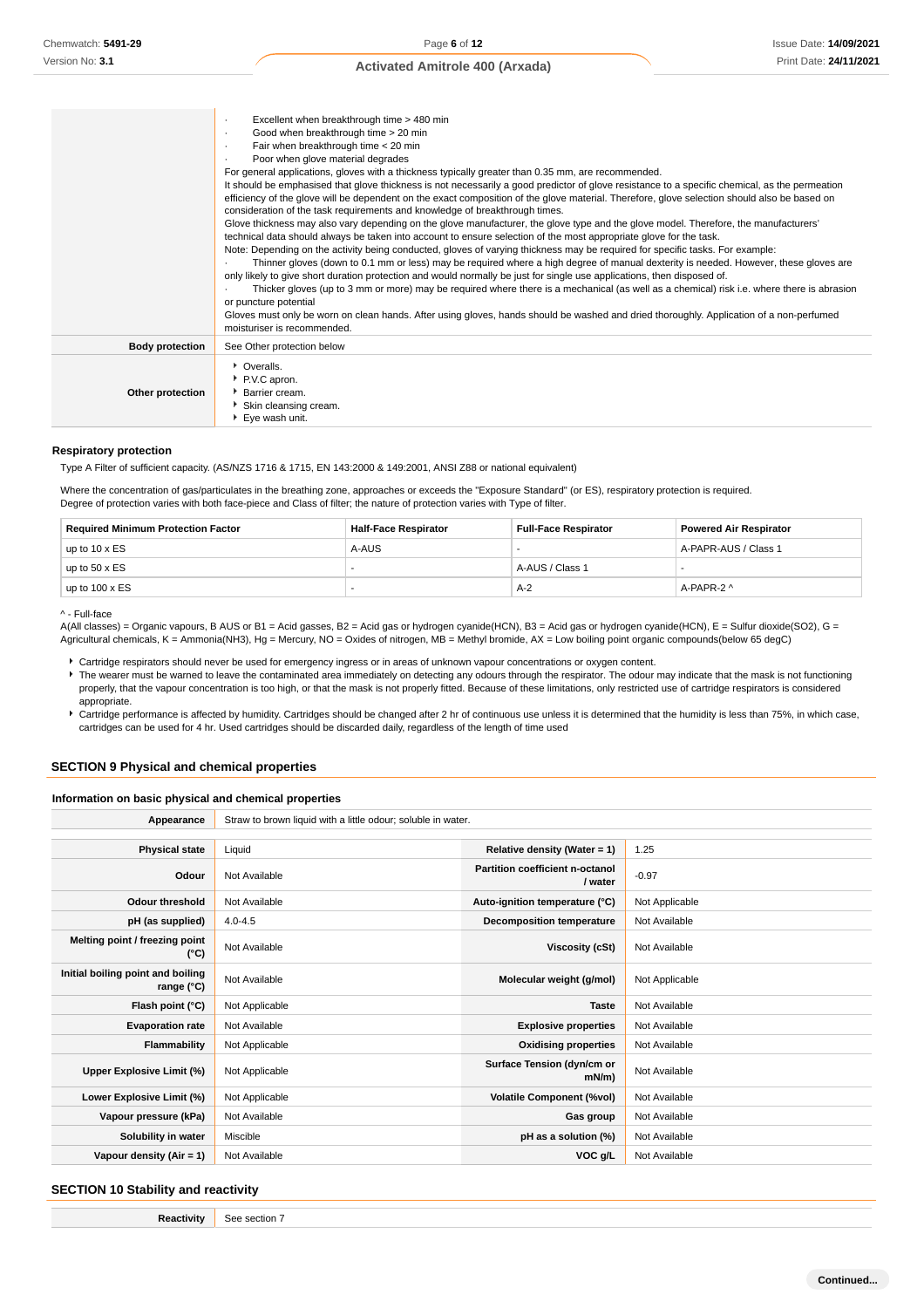|                        | Excellent when breakthrough time > 480 min<br>٠<br>Good when breakthrough time > 20 min<br>$\cdot$<br>Fair when breakthrough time < 20 min<br>٠<br>Poor when glove material degrades<br>For general applications, gloves with a thickness typically greater than 0.35 mm, are recommended.<br>It should be emphasised that glove thickness is not necessarily a good predictor of glove resistance to a specific chemical, as the permeation<br>efficiency of the glove will be dependent on the exact composition of the glove material. Therefore, glove selection should also be based on<br>consideration of the task requirements and knowledge of breakthrough times.<br>Glove thickness may also vary depending on the glove manufacturer, the glove type and the glove model. Therefore, the manufacturers'<br>technical data should always be taken into account to ensure selection of the most appropriate glove for the task.<br>Note: Depending on the activity being conducted, gloves of varying thickness may be required for specific tasks. For example:<br>Thinner gloves (down to 0.1 mm or less) may be required where a high degree of manual dexterity is needed. However, these gloves are<br>only likely to give short duration protection and would normally be just for single use applications, then disposed of.<br>Thicker gloves (up to 3 mm or more) may be required where there is a mechanical (as well as a chemical) risk i.e. where there is abrasion<br>or puncture potential<br>Gloves must only be worn on clean hands. After using gloves, hands should be washed and dried thoroughly. Application of a non-perfumed<br>moisturiser is recommended. |
|------------------------|-----------------------------------------------------------------------------------------------------------------------------------------------------------------------------------------------------------------------------------------------------------------------------------------------------------------------------------------------------------------------------------------------------------------------------------------------------------------------------------------------------------------------------------------------------------------------------------------------------------------------------------------------------------------------------------------------------------------------------------------------------------------------------------------------------------------------------------------------------------------------------------------------------------------------------------------------------------------------------------------------------------------------------------------------------------------------------------------------------------------------------------------------------------------------------------------------------------------------------------------------------------------------------------------------------------------------------------------------------------------------------------------------------------------------------------------------------------------------------------------------------------------------------------------------------------------------------------------------------------------------------------------------------------------------------------------------|
| <b>Body protection</b> | See Other protection below                                                                                                                                                                                                                                                                                                                                                                                                                                                                                                                                                                                                                                                                                                                                                                                                                                                                                                                                                                                                                                                                                                                                                                                                                                                                                                                                                                                                                                                                                                                                                                                                                                                                    |
| Other protection       | • Overalls.<br>P.V.C apron.<br><b>Barrier cream.</b><br>Skin cleansing cream.<br>Eye wash unit.                                                                                                                                                                                                                                                                                                                                                                                                                                                                                                                                                                                                                                                                                                                                                                                                                                                                                                                                                                                                                                                                                                                                                                                                                                                                                                                                                                                                                                                                                                                                                                                               |

#### **Respiratory protection**

Type A Filter of sufficient capacity. (AS/NZS 1716 & 1715, EN 143:2000 & 149:2001, ANSI Z88 or national equivalent)

Where the concentration of gas/particulates in the breathing zone, approaches or exceeds the "Exposure Standard" (or ES), respiratory protection is required. Degree of protection varies with both face-piece and Class of filter; the nature of protection varies with Type of filter.

| <b>Required Minimum Protection Factor</b> | Half-Face Respirator | <b>Full-Face Respirator</b> | <b>Powered Air Respirator</b> |
|-------------------------------------------|----------------------|-----------------------------|-------------------------------|
| up to $10 \times ES$                      | A-AUS                |                             | A-PAPR-AUS / Class 1          |
| up to $50 \times ES$                      |                      | A-AUS / Class 1             |                               |
| up to $100 \times ES$                     |                      | A-2                         | A-PAPR-2 ^                    |

^ - Full-face

A(All classes) = Organic vapours, B AUS or B1 = Acid gasses, B2 = Acid gas or hydrogen cyanide(HCN), B3 = Acid gas or hydrogen cyanide(HCN), E = Sulfur dioxide(SO2), G = Agricultural chemicals, K = Ammonia(NH3), Hg = Mercury, NO = Oxides of nitrogen, MB = Methyl bromide, AX = Low boiling point organic compounds(below 65 degC)

Cartridge respirators should never be used for emergency ingress or in areas of unknown vapour concentrations or oxygen content.

▶ The wearer must be warned to leave the contaminated area immediately on detecting any odours through the respirator. The odour may indicate that the mask is not functioning properly, that the vapour concentration is too high, or that the mask is not properly fitted. Because of these limitations, only restricted use of cartridge respirators is considered appropriate.

Cartridge performance is affected by humidity. Cartridges should be changed after 2 hr of continuous use unless it is determined that the humidity is less than 75%, in which case, cartridges can be used for 4 hr. Used cartridges should be discarded daily, regardless of the length of time used

#### **SECTION 9 Physical and chemical properties**

#### **Information on basic physical and chemical properties**

| Appearance                                      | Straw to brown liquid with a little odour; soluble in water. |                                            |                |  |
|-------------------------------------------------|--------------------------------------------------------------|--------------------------------------------|----------------|--|
|                                                 |                                                              |                                            |                |  |
| <b>Physical state</b>                           | Liquid                                                       | Relative density (Water = 1)               | 1.25           |  |
| Odour                                           | Not Available                                                | Partition coefficient n-octanol<br>/ water | $-0.97$        |  |
| <b>Odour threshold</b>                          | Not Available                                                | Auto-ignition temperature (°C)             | Not Applicable |  |
| pH (as supplied)                                | $4.0 - 4.5$                                                  | <b>Decomposition temperature</b>           | Not Available  |  |
| Melting point / freezing point<br>(°C)          | Not Available                                                | Viscosity (cSt)                            | Not Available  |  |
| Initial boiling point and boiling<br>range (°C) | Not Available                                                | Molecular weight (g/mol)                   | Not Applicable |  |
| Flash point (°C)                                | Not Applicable                                               | <b>Taste</b>                               | Not Available  |  |
| <b>Evaporation rate</b>                         | Not Available                                                | <b>Explosive properties</b>                | Not Available  |  |
| Flammability                                    | Not Applicable                                               | <b>Oxidising properties</b>                | Not Available  |  |
| Upper Explosive Limit (%)                       | Not Applicable                                               | Surface Tension (dyn/cm or<br>$mN/m$ )     | Not Available  |  |
| Lower Explosive Limit (%)                       | Not Applicable                                               | <b>Volatile Component (%vol)</b>           | Not Available  |  |
| Vapour pressure (kPa)                           | Not Available                                                | Gas group                                  | Not Available  |  |
| Solubility in water                             | Miscible                                                     | pH as a solution (%)                       | Not Available  |  |
| Vapour density (Air = 1)                        | Not Available                                                | VOC g/L                                    | Not Available  |  |

#### **SECTION 10 Stability and reactivity**

|  | <br>-<br>. |
|--|------------|
|--|------------|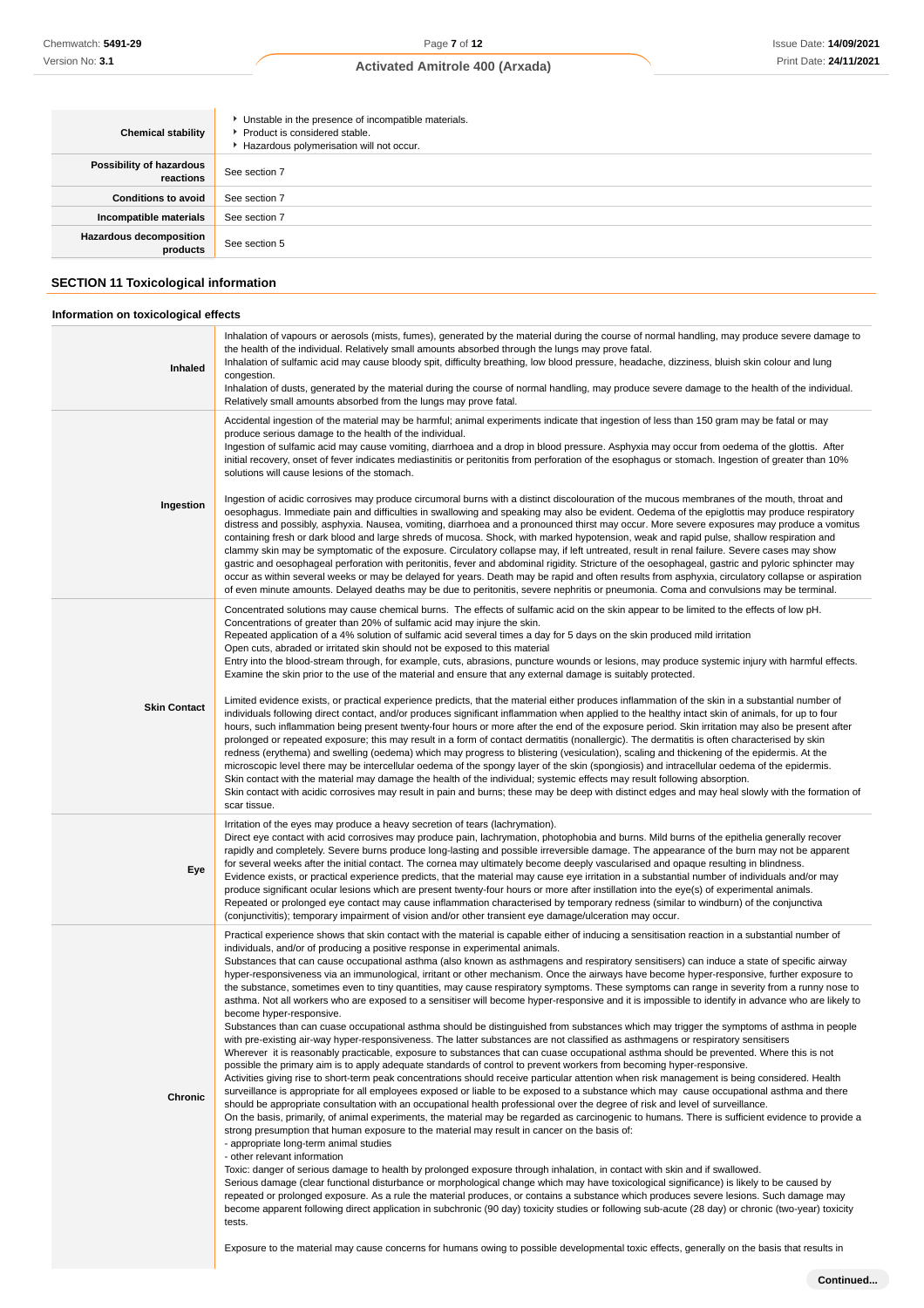| <b>Chemical stability</b>                   | • Unstable in the presence of incompatible materials.<br>Product is considered stable.<br>Hazardous polymerisation will not occur. |
|---------------------------------------------|------------------------------------------------------------------------------------------------------------------------------------|
| Possibility of hazardous<br>reactions       | See section 7                                                                                                                      |
| <b>Conditions to avoid</b>                  | See section 7                                                                                                                      |
| Incompatible materials                      | See section 7                                                                                                                      |
| Hazardous decomposition<br>products         | See section 5                                                                                                                      |
| <b>SECTION 11 Toxicological information</b> |                                                                                                                                    |

#### **Information on toxicological effects Inhaled** Inhalation of vapours or aerosols (mists, fumes), generated by the material during the course of normal handling, may produce severe damage to the health of the individual. Relatively small amounts absorbed through the lungs may prove fatal. Inhalation of sulfamic acid may cause bloody spit, difficulty breathing, low blood pressure, headache, dizziness, bluish skin colour and lung congestion. Inhalation of dusts, generated by the material during the course of normal handling, may produce severe damage to the health of the individual. Relatively small amounts absorbed from the lungs may prove fatal. **Ingestion** Accidental ingestion of the material may be harmful; animal experiments indicate that ingestion of less than 150 gram may be fatal or may produce serious damage to the health of the individual. Ingestion of sulfamic acid may cause vomiting, diarrhoea and a drop in blood pressure. Asphyxia may occur from oedema of the glottis. After initial recovery, onset of fever indicates mediastinitis or peritonitis from perforation of the esophagus or stomach. Ingestion of greater than 10% solutions will cause lesions of the stomach. Ingestion of acidic corrosives may produce circumoral burns with a distinct discolouration of the mucous membranes of the mouth, throat and oesophagus. Immediate pain and difficulties in swallowing and speaking may also be evident. Oedema of the epiglottis may produce respiratory distress and possibly, asphyxia. Nausea, vomiting, diarrhoea and a pronounced thirst may occur. More severe exposures may produce a vomitus containing fresh or dark blood and large shreds of mucosa. Shock, with marked hypotension, weak and rapid pulse, shallow respiration and clammy skin may be symptomatic of the exposure. Circulatory collapse may, if left untreated, result in renal failure. Severe cases may show gastric and oesophageal perforation with peritonitis, fever and abdominal rigidity. Stricture of the oesophageal, gastric and pyloric sphincter may occur as within several weeks or may be delayed for years. Death may be rapid and often results from asphyxia, circulatory collapse or aspiration of even minute amounts. Delayed deaths may be due to peritonitis, severe nephritis or pneumonia. Coma and convulsions may be terminal. **Skin Contact** Concentrated solutions may cause chemical burns. The effects of sulfamic acid on the skin appear to be limited to the effects of low pH. Concentrations of greater than 20% of sulfamic acid may injure the skin. Repeated application of a 4% solution of sulfamic acid several times a day for 5 days on the skin produced mild irritation Open cuts, abraded or irritated skin should not be exposed to this material Entry into the blood-stream through, for example, cuts, abrasions, puncture wounds or lesions, may produce systemic injury with harmful effects. Examine the skin prior to the use of the material and ensure that any external damage is suitably protected. Limited evidence exists, or practical experience predicts, that the material either produces inflammation of the skin in a substantial number of individuals following direct contact, and/or produces significant inflammation when applied to the healthy intact skin of animals, for up to four hours, such inflammation being present twenty-four hours or more after the end of the exposure period. Skin irritation may also be present after prolonged or repeated exposure; this may result in a form of contact dermatitis (nonallergic). The dermatitis is often characterised by skin redness (erythema) and swelling (oedema) which may progress to blistering (vesiculation), scaling and thickening of the epidermis. At the microscopic level there may be intercellular oedema of the spongy layer of the skin (spongiosis) and intracellular oedema of the epidermis. Skin contact with the material may damage the health of the individual; systemic effects may result following absorption. Skin contact with acidic corrosives may result in pain and burns; these may be deep with distinct edges and may heal slowly with the formation of scar tissue. **Eye** Irritation of the eyes may produce a heavy secretion of tears (lachrymation). Direct eye contact with acid corrosives may produce pain, lachrymation, photophobia and burns. Mild burns of the epithelia generally recover rapidly and completely. Severe burns produce long-lasting and possible irreversible damage. The appearance of the burn may not be apparent for several weeks after the initial contact. The cornea may ultimately become deeply vascularised and opaque resulting in blindness Evidence exists, or practical experience predicts, that the material may cause eye irritation in a substantial number of individuals and/or may produce significant ocular lesions which are present twenty-four hours or more after instillation into the eye(s) of experimental animals. Repeated or prolonged eye contact may cause inflammation characterised by temporary redness (similar to windburn) of the conjunctiva (conjunctivitis); temporary impairment of vision and/or other transient eye damage/ulceration may occur. **Chronic** Practical experience shows that skin contact with the material is capable either of inducing a sensitisation reaction in a substantial number of individuals, and/or of producing a positive response in experimental animals. Substances that can cause occupational asthma (also known as asthmagens and respiratory sensitisers) can induce a state of specific airway hyper-responsiveness via an immunological, irritant or other mechanism. Once the airways have become hyper-responsive, further exposure to the substance, sometimes even to tiny quantities, may cause respiratory symptoms. These symptoms can range in severity from a runny nose to asthma. Not all workers who are exposed to a sensitiser will become hyper-responsive and it is impossible to identify in advance who are likely to become hyper-responsive. Substances than can cuase occupational asthma should be distinguished from substances which may trigger the symptoms of asthma in people with pre-existing air-way hyper-responsiveness. The latter substances are not classified as asthmagens or respiratory sensitisers Wherever it is reasonably practicable, exposure to substances that can cuase occupational asthma should be prevented. Where this is not possible the primary aim is to apply adequate standards of control to prevent workers from becoming hyper-responsive. Activities giving rise to short-term peak concentrations should receive particular attention when risk management is being considered. Health surveillance is appropriate for all employees exposed or liable to be exposed to a substance which may cause occupational asthma and there should be appropriate consultation with an occupational health professional over the degree of risk and level of surveillance. On the basis, primarily, of animal experiments, the material may be regarded as carcinogenic to humans. There is sufficient evidence to provide a strong presumption that human exposure to the material may result in cancer on the basis of: - appropriate long-term animal studies

- other relevant information

Toxic: danger of serious damage to health by prolonged exposure through inhalation, in contact with skin and if swallowed. Serious damage (clear functional disturbance or morphological change which may have toxicological significance) is likely to be caused by repeated or prolonged exposure. As a rule the material produces, or contains a substance which produces severe lesions. Such damage may become apparent following direct application in subchronic (90 day) toxicity studies or following sub-acute (28 day) or chronic (two-year) toxicity tests.

Exposure to the material may cause concerns for humans owing to possible developmental toxic effects, generally on the basis that results in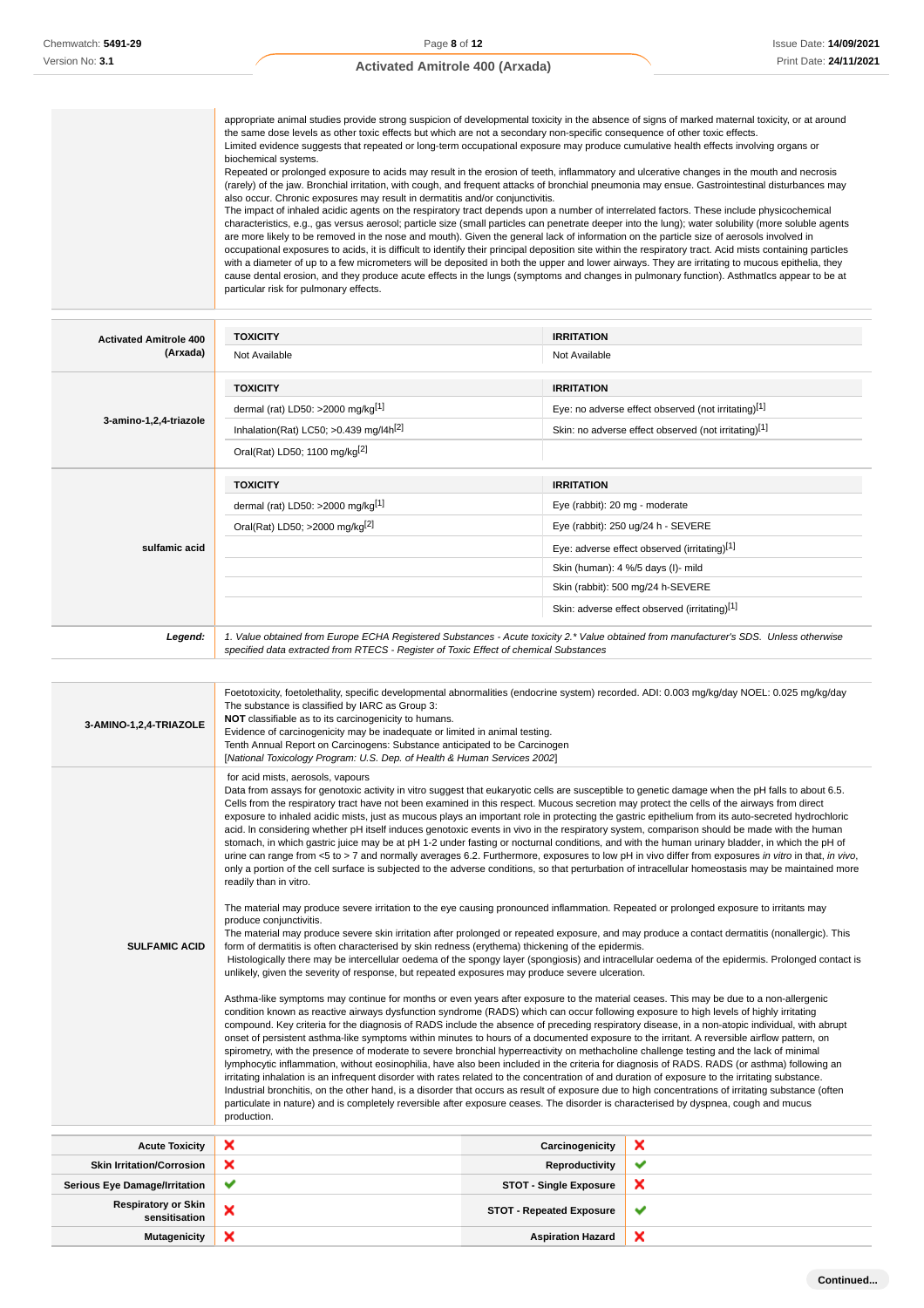appropriate animal studies provide strong suspicion of developmental toxicity in the absence of signs of marked maternal toxicity, or at around the same dose levels as other toxic effects but which are not a secondary non-specific consequence of other toxic effects. Limited evidence suggests that repeated or long-term occupational exposure may produce cumulative health effects involving organs or biochemical systems. Repeated or prolonged exposure to acids may result in the erosion of teeth, inflammatory and ulcerative changes in the mouth and necrosis (rarely) of the jaw. Bronchial irritation, with cough, and frequent attacks of bronchial pneumonia may ensue. Gastrointestinal disturbances may also occur. Chronic exposures may result in dermatitis and/or conjunctivitis. The impact of inhaled acidic agents on the respiratory tract depends upon a number of interrelated factors. These include physicochemical characteristics, e.g., gas versus aerosol; particle size (small particles can penetrate deeper into the lung); water solubility (more soluble agents are more likely to be removed in the nose and mouth). Given the general lack of information on the particle size of aerosols involved in occupational exposures to acids, it is difficult to identify their principal deposition site within the respiratory tract. Acid mists containing particIes with a diameter of up to a few micrometers will be deposited in both the upper and lower airways. They are irritating to mucous epithelia, they cause dental erosion, and they produce acute effects in the lungs (symptoms and changes in pulmonary function). AsthmatIcs appear to be at particular risk for pulmonary effects.

| <b>Activated Amitrole 400</b> | <b>TOXICITY</b>                                                                                                                                                                                                                 | <b>IRRITATION</b>                                    |  |
|-------------------------------|---------------------------------------------------------------------------------------------------------------------------------------------------------------------------------------------------------------------------------|------------------------------------------------------|--|
| (Arxada)                      | Not Available                                                                                                                                                                                                                   | Not Available                                        |  |
|                               | <b>TOXICITY</b>                                                                                                                                                                                                                 | <b>IRRITATION</b>                                    |  |
|                               | dermal (rat) LD50: >2000 mg/kg <sup>[1]</sup>                                                                                                                                                                                   | Eye: no adverse effect observed (not irritating)[1]  |  |
| 3-amino-1,2,4-triazole        | Inhalation(Rat) LC50; $>0.439$ mg/l4h <sup>[2]</sup>                                                                                                                                                                            | Skin: no adverse effect observed (not irritating)[1] |  |
|                               | Oral(Rat) LD50; 1100 mg/kg[2]                                                                                                                                                                                                   |                                                      |  |
|                               | <b>TOXICITY</b>                                                                                                                                                                                                                 | <b>IRRITATION</b>                                    |  |
|                               | dermal (rat) LD50: >2000 mg/kg <sup>[1]</sup>                                                                                                                                                                                   | Eye (rabbit): 20 mg - moderate                       |  |
|                               | Oral(Rat) LD50; >2000 mg/kg[2]                                                                                                                                                                                                  | Eye (rabbit): 250 ug/24 h - SEVERE                   |  |
| sulfamic acid                 |                                                                                                                                                                                                                                 | Eye: adverse effect observed (irritating)[1]         |  |
|                               |                                                                                                                                                                                                                                 | Skin (human): 4 %/5 days (I)- mild                   |  |
|                               |                                                                                                                                                                                                                                 | Skin (rabbit): 500 mg/24 h-SEVERE                    |  |
|                               |                                                                                                                                                                                                                                 | Skin: adverse effect observed (irritating)[1]        |  |
| Legend:                       | 1. Value obtained from Europe ECHA Registered Substances - Acute toxicity 2.* Value obtained from manufacturer's SDS. Unless otherwise<br>specified data extracted from RTECS - Register of Toxic Effect of chemical Substances |                                                      |  |

| 3-AMINO-1,2,4-TRIAZOLE                      | Foetotoxicity, foetolethality, specific developmental abnormalities (endocrine system) recorded. ADI: 0.003 mg/kg/day NOEL: 0.025 mg/kg/day<br>The substance is classified by IARC as Group 3:<br>NOT classifiable as to its carcinogenicity to humans.<br>Evidence of carcinogenicity may be inadequate or limited in animal testing.<br>Tenth Annual Report on Carcinogens: Substance anticipated to be Carcinogen<br>[National Toxicology Program: U.S. Dep. of Health & Human Services 2002]                                                                                                                                                                                                                                                                                                                                                                                                                                                                                                                                                                                                                                                                                                                                                                                                                                                                                                                                                                                                                                                                                                                                                                                                                                                                                                                                                                                                                                                                                                                                                                                                                                                                                                                                                                                                                                                                                                                                                                                                                                                                                                                                                                                                                                                                                                                                                                                                                                                                                                                  |                                 |                                                                                                                                                   |  |
|---------------------------------------------|-------------------------------------------------------------------------------------------------------------------------------------------------------------------------------------------------------------------------------------------------------------------------------------------------------------------------------------------------------------------------------------------------------------------------------------------------------------------------------------------------------------------------------------------------------------------------------------------------------------------------------------------------------------------------------------------------------------------------------------------------------------------------------------------------------------------------------------------------------------------------------------------------------------------------------------------------------------------------------------------------------------------------------------------------------------------------------------------------------------------------------------------------------------------------------------------------------------------------------------------------------------------------------------------------------------------------------------------------------------------------------------------------------------------------------------------------------------------------------------------------------------------------------------------------------------------------------------------------------------------------------------------------------------------------------------------------------------------------------------------------------------------------------------------------------------------------------------------------------------------------------------------------------------------------------------------------------------------------------------------------------------------------------------------------------------------------------------------------------------------------------------------------------------------------------------------------------------------------------------------------------------------------------------------------------------------------------------------------------------------------------------------------------------------------------------------------------------------------------------------------------------------------------------------------------------------------------------------------------------------------------------------------------------------------------------------------------------------------------------------------------------------------------------------------------------------------------------------------------------------------------------------------------------------------------------------------------------------------------------------------------------------|---------------------------------|---------------------------------------------------------------------------------------------------------------------------------------------------|--|
| <b>SULFAMIC ACID</b>                        | for acid mists, aerosols, vapours<br>Data from assays for genotoxic activity in vitro suggest that eukaryotic cells are susceptible to genetic damage when the pH falls to about 6.5.<br>Cells from the respiratory tract have not been examined in this respect. Mucous secretion may protect the cells of the airways from direct<br>exposure to inhaled acidic mists, just as mucous plays an important role in protecting the gastric epithelium from its auto-secreted hydrochloric<br>acid. In considering whether pH itself induces genotoxic events in vivo in the respiratory system, comparison should be made with the human<br>stomach, in which gastric juice may be at pH 1-2 under fasting or nocturnal conditions, and with the human urinary bladder, in which the pH of<br>urine can range from <5 to > 7 and normally averages 6.2. Furthermore, exposures to low pH in vivo differ from exposures in vitro in that, in vivo,<br>only a portion of the cell surface is subjected to the adverse conditions, so that perturbation of intracellular homeostasis may be maintained more<br>readily than in vitro.<br>The material may produce severe irritation to the eye causing pronounced inflammation. Repeated or prolonged exposure to irritants may<br>produce conjunctivitis.<br>The material may produce severe skin irritation after prolonged or repeated exposure, and may produce a contact dermatitis (nonallergic). This<br>form of dermatitis is often characterised by skin redness (erythema) thickening of the epidermis.<br>unlikely, given the severity of response, but repeated exposures may produce severe ulceration.<br>Asthma-like symptoms may continue for months or even years after exposure to the material ceases. This may be due to a non-allergenic<br>condition known as reactive airways dysfunction syndrome (RADS) which can occur following exposure to high levels of highly irritating<br>compound. Key criteria for the diagnosis of RADS include the absence of preceding respiratory disease, in a non-atopic individual, with abrupt<br>onset of persistent asthma-like symptoms within minutes to hours of a documented exposure to the irritant. A reversible airflow pattern, on<br>spirometry, with the presence of moderate to severe bronchial hyperreactivity on methacholine challenge testing and the lack of minimal<br>lymphocytic inflammation, without eosinophilia, have also been included in the criteria for diagnosis of RADS. RADS (or asthma) following an<br>irritating inhalation is an infrequent disorder with rates related to the concentration of and duration of exposure to the irritating substance.<br>Industrial bronchitis, on the other hand, is a disorder that occurs as result of exposure due to high concentrations of irritating substance (often<br>particulate in nature) and is completely reversible after exposure ceases. The disorder is characterised by dyspnea, cough and mucus<br>production. |                                 | Histologically there may be intercellular oedema of the spongy layer (spongiosis) and intracellular oedema of the epidermis. Prolonged contact is |  |
| <b>Acute Toxicity</b>                       | ×                                                                                                                                                                                                                                                                                                                                                                                                                                                                                                                                                                                                                                                                                                                                                                                                                                                                                                                                                                                                                                                                                                                                                                                                                                                                                                                                                                                                                                                                                                                                                                                                                                                                                                                                                                                                                                                                                                                                                                                                                                                                                                                                                                                                                                                                                                                                                                                                                                                                                                                                                                                                                                                                                                                                                                                                                                                                                                                                                                                                                 | Carcinogenicity                 | ×                                                                                                                                                 |  |
| <b>Skin Irritation/Corrosion</b>            | ×                                                                                                                                                                                                                                                                                                                                                                                                                                                                                                                                                                                                                                                                                                                                                                                                                                                                                                                                                                                                                                                                                                                                                                                                                                                                                                                                                                                                                                                                                                                                                                                                                                                                                                                                                                                                                                                                                                                                                                                                                                                                                                                                                                                                                                                                                                                                                                                                                                                                                                                                                                                                                                                                                                                                                                                                                                                                                                                                                                                                                 | Reproductivity                  | ✔                                                                                                                                                 |  |
| <b>Serious Eye Damage/Irritation</b>        | ✔                                                                                                                                                                                                                                                                                                                                                                                                                                                                                                                                                                                                                                                                                                                                                                                                                                                                                                                                                                                                                                                                                                                                                                                                                                                                                                                                                                                                                                                                                                                                                                                                                                                                                                                                                                                                                                                                                                                                                                                                                                                                                                                                                                                                                                                                                                                                                                                                                                                                                                                                                                                                                                                                                                                                                                                                                                                                                                                                                                                                                 | <b>STOT - Single Exposure</b>   | ×                                                                                                                                                 |  |
| <b>Respiratory or Skin</b><br>sensitisation | ×                                                                                                                                                                                                                                                                                                                                                                                                                                                                                                                                                                                                                                                                                                                                                                                                                                                                                                                                                                                                                                                                                                                                                                                                                                                                                                                                                                                                                                                                                                                                                                                                                                                                                                                                                                                                                                                                                                                                                                                                                                                                                                                                                                                                                                                                                                                                                                                                                                                                                                                                                                                                                                                                                                                                                                                                                                                                                                                                                                                                                 | <b>STOT - Repeated Exposure</b> | ✔                                                                                                                                                 |  |
| <b>Mutagenicity</b>                         | ×                                                                                                                                                                                                                                                                                                                                                                                                                                                                                                                                                                                                                                                                                                                                                                                                                                                                                                                                                                                                                                                                                                                                                                                                                                                                                                                                                                                                                                                                                                                                                                                                                                                                                                                                                                                                                                                                                                                                                                                                                                                                                                                                                                                                                                                                                                                                                                                                                                                                                                                                                                                                                                                                                                                                                                                                                                                                                                                                                                                                                 | <b>Aspiration Hazard</b>        | ×                                                                                                                                                 |  |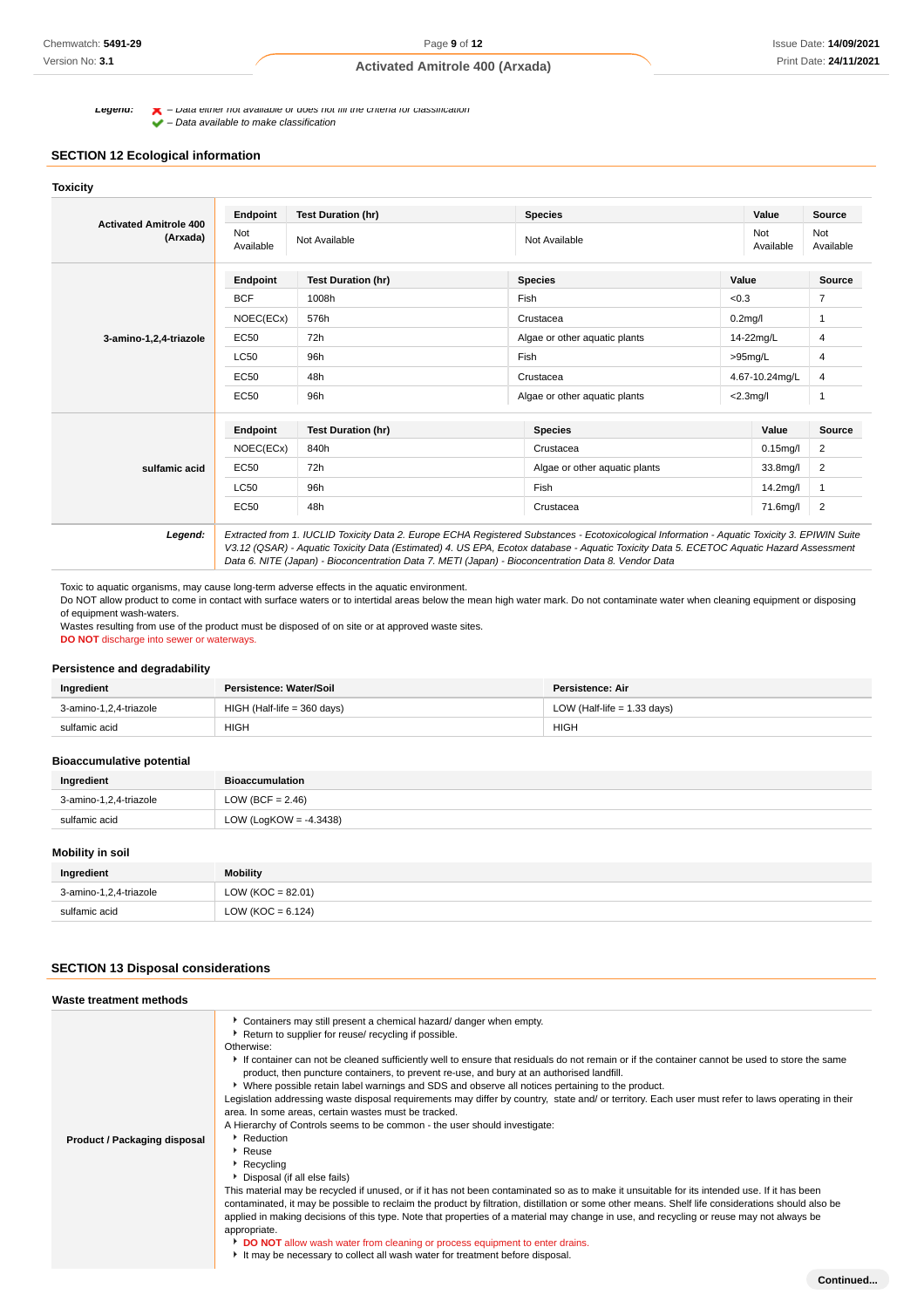**Legend:**  $\blacktriangle$  – Data either not available or does not fill the criteria for classification

#### – Data available to make classification

# **SECTION 12 Ecological information**

| <b>Activated Amitrole 400</b><br>(Arxada) | Endpoint         | <b>Test Duration (hr)</b> | <b>Species</b>                                                                                                                                                                                                                                                                                                                                                                                  | Value                 | Source           |
|-------------------------------------------|------------------|---------------------------|-------------------------------------------------------------------------------------------------------------------------------------------------------------------------------------------------------------------------------------------------------------------------------------------------------------------------------------------------------------------------------------------------|-----------------------|------------------|
|                                           | Not<br>Available | Not Available             | Not<br>Not Available<br>Available                                                                                                                                                                                                                                                                                                                                                               |                       | Not<br>Available |
|                                           | Endpoint         | <b>Test Duration (hr)</b> | <b>Species</b>                                                                                                                                                                                                                                                                                                                                                                                  | Value                 | <b>Source</b>    |
|                                           | <b>BCF</b>       | 1008h                     | Fish                                                                                                                                                                                                                                                                                                                                                                                            | < 0.3                 | $\overline{7}$   |
| 3-amino-1,2,4-triazole                    | NOEC(ECx)        | 576h                      | Crustacea                                                                                                                                                                                                                                                                                                                                                                                       | $0.2$ mg/l            | 1                |
|                                           | <b>EC50</b>      | 72h                       | Algae or other aquatic plants<br>14-22mg/L                                                                                                                                                                                                                                                                                                                                                      |                       | 4                |
|                                           | <b>LC50</b>      | 96h<br>Fish               |                                                                                                                                                                                                                                                                                                                                                                                                 | $>95$ mg/L            | 4                |
|                                           | EC50             | 48h                       | Crustacea                                                                                                                                                                                                                                                                                                                                                                                       | 4.67-10.24mg/L        | 4                |
|                                           | EC50             | 96h                       | Algae or other aquatic plants<br>$<$ 2.3mg/l                                                                                                                                                                                                                                                                                                                                                    |                       | 1                |
|                                           | Endpoint         | <b>Test Duration (hr)</b> | <b>Species</b>                                                                                                                                                                                                                                                                                                                                                                                  | Value                 | Source           |
|                                           | NOEC(ECx)        | Crustacea<br>840h         |                                                                                                                                                                                                                                                                                                                                                                                                 | $0.15$ mg/l           | $\overline{2}$   |
| sulfamic acid                             | EC50             | 72h                       | Algae or other aquatic plants                                                                                                                                                                                                                                                                                                                                                                   | 33.8mg/l              | 2                |
|                                           | <b>LC50</b>      | 96h                       | Fish                                                                                                                                                                                                                                                                                                                                                                                            | 14.2 <sub>mq</sub> /I | 1                |
|                                           | EC50             | 48h                       | Crustacea                                                                                                                                                                                                                                                                                                                                                                                       | 71.6mg/l              | $\overline{2}$   |
| Legend:                                   |                  |                           | Extracted from 1. IUCLID Toxicity Data 2. Europe ECHA Registered Substances - Ecotoxicological Information - Aquatic Toxicity 3. EPIWIN Suite<br>V3.12 (QSAR) - Aquatic Toxicity Data (Estimated) 4. US EPA, Ecotox database - Aquatic Toxicity Data 5. ECETOC Aquatic Hazard Assessment<br>Data 6. NITE (Japan) - Bioconcentration Data 7. METI (Japan) - Bioconcentration Data 8. Vendor Data |                       |                  |

Toxic to aquatic organisms, may cause long-term adverse effects in the aquatic environment.

Do NOT allow product to come in contact with surface waters or to intertidal areas below the mean high water mark. Do not contaminate water when cleaning equipment or disposing of equipment wash-waters.

Wastes resulting from use of the product must be disposed of on site or at approved waste sites.

**DO NOT** discharge into sewer or waterways.

#### **Persistence and degradability**

| Ingredient             | Persistence: Water/Soil       | Persistence: Air              |
|------------------------|-------------------------------|-------------------------------|
| 3-amino-1.2.4-triazole | $HIGH$ (Half-life = 360 days) | LOW (Half-life = $1.33$ days) |
| sulfamic acid          | <b>HIGH</b>                   | <b>HIGH</b>                   |

#### **Bioaccumulative potential**

| Ingredient             | <b>Bioaccumulation</b> |
|------------------------|------------------------|
| 3-amino-1,2,4-triazole | LOW (BCF = $2.46$ )    |
| sulfamic acid          | LOW (LogKOW = -4.3438) |

## **Mobility in soil**

| Ingredient             | <b>Mobility</b>     |
|------------------------|---------------------|
| 3-amino-1,2,4-triazole | $LOW (KOC = 82.01)$ |
| sulfamic acid          | $LOW (KOC = 6.124)$ |

## **SECTION 13 Disposal considerations**

| Waste treatment methods      |                                                                                                                                                                                                                                                                                                                                                                                                                                                                                                                                                                                                                                                                                                                                                                                                                                                                                                                                                                                                                                                                                                                                                                                                                                                                                                                                                                                                                                        |
|------------------------------|----------------------------------------------------------------------------------------------------------------------------------------------------------------------------------------------------------------------------------------------------------------------------------------------------------------------------------------------------------------------------------------------------------------------------------------------------------------------------------------------------------------------------------------------------------------------------------------------------------------------------------------------------------------------------------------------------------------------------------------------------------------------------------------------------------------------------------------------------------------------------------------------------------------------------------------------------------------------------------------------------------------------------------------------------------------------------------------------------------------------------------------------------------------------------------------------------------------------------------------------------------------------------------------------------------------------------------------------------------------------------------------------------------------------------------------|
| Product / Packaging disposal | Containers may still present a chemical hazard/ danger when empty.<br>Return to supplier for reuse/ recycling if possible.<br>Otherwise:<br>If container can not be cleaned sufficiently well to ensure that residuals do not remain or if the container cannot be used to store the same<br>product, then puncture containers, to prevent re-use, and bury at an authorised landfill.<br>▶ Where possible retain label warnings and SDS and observe all notices pertaining to the product.<br>Legislation addressing waste disposal requirements may differ by country, state and/ or territory. Each user must refer to laws operating in their<br>area. In some areas, certain wastes must be tracked.<br>A Hierarchy of Controls seems to be common - the user should investigate:<br>Reduction<br>▶ Reuse<br>$\blacktriangleright$ Recycling<br>Disposal (if all else fails)<br>This material may be recycled if unused, or if it has not been contaminated so as to make it unsuitable for its intended use. If it has been<br>contaminated, it may be possible to reclaim the product by filtration, distillation or some other means. Shelf life considerations should also be<br>applied in making decisions of this type. Note that properties of a material may change in use, and recycling or reuse may not always be<br>appropriate.<br>DO NOT allow wash water from cleaning or process equipment to enter drains.<br>. |

It may be necessary to collect all wash water for treatment before disposal.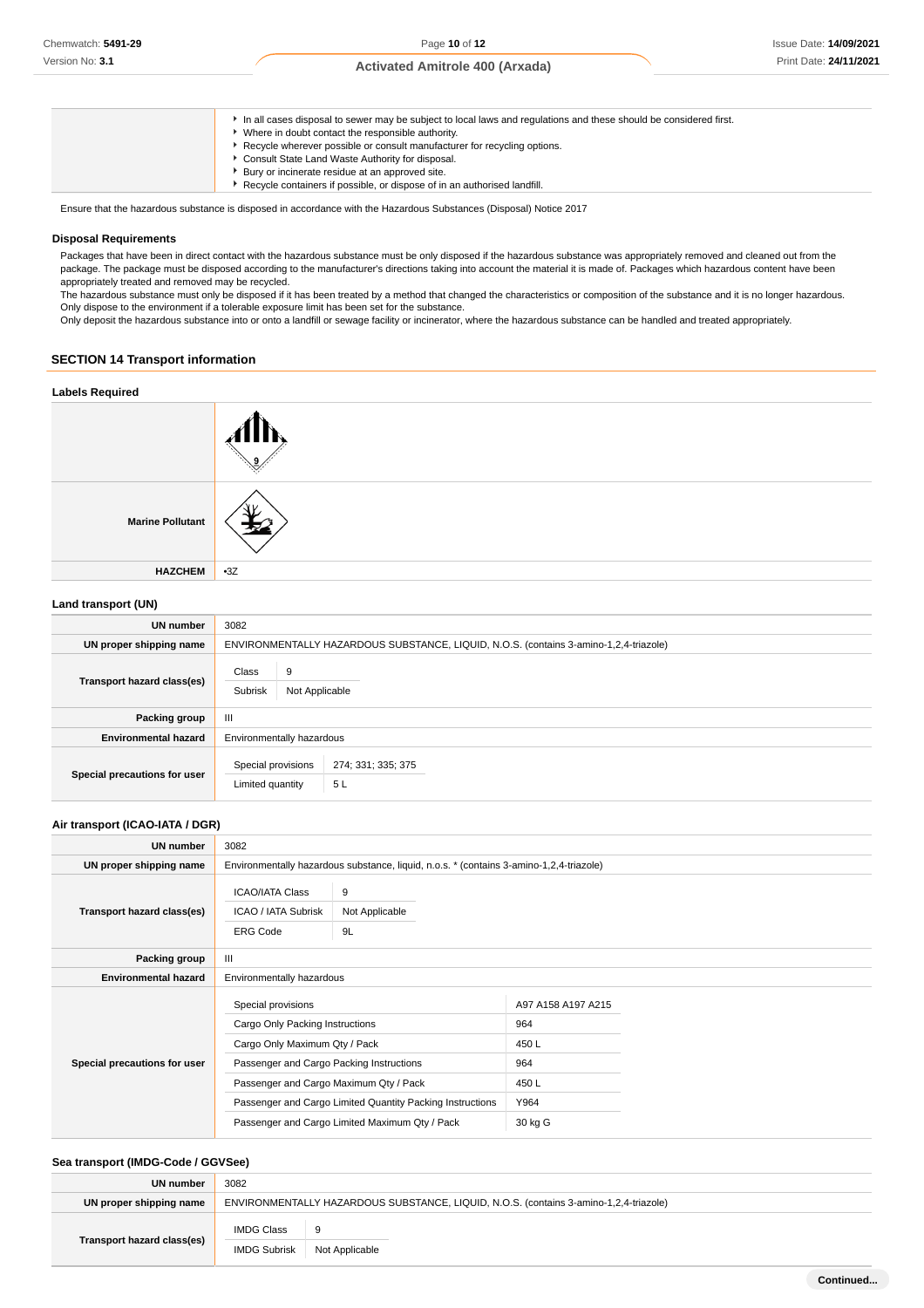| In all cases disposal to sewer may be subject to local laws and regulations and these should be considered first.<br>Where in doubt contact the responsible authority.<br>► Recycle wherever possible or consult manufacturer for recycling options.<br>Consult State Land Waste Authority for disposal.<br>Bury or incinerate residue at an approved site. |
|-------------------------------------------------------------------------------------------------------------------------------------------------------------------------------------------------------------------------------------------------------------------------------------------------------------------------------------------------------------|
| Recycle containers if possible, or dispose of in an authorised landfill.                                                                                                                                                                                                                                                                                    |

Ensure that the hazardous substance is disposed in accordance with the Hazardous Substances (Disposal) Notice 2017

#### **Disposal Requirements**

Packages that have been in direct contact with the hazardous substance must be only disposed if the hazardous substance was appropriately removed and cleaned out from the package. The package must be disposed according to the manufacturer's directions taking into account the material it is made of. Packages which hazardous content have been appropriately treated and removed may be recycled.

The hazardous substance must only be disposed if it has been treated by a method that changed the characteristics or composition of the substance and it is no longer hazardous. Only dispose to the environment if a tolerable exposure limit has been set for the substance.

Only deposit the hazardous substance into or onto a landfill or sewage facility or incinerator, where the hazardous substance can be handled and treated appropriately.

## **SECTION 14 Transport information**

**HAZCHEM** •3Z

# **Labels Required Marine Pollutant**

**Land transport (UN)**

| UN number                    | 3082                                                                                  |  |  |
|------------------------------|---------------------------------------------------------------------------------------|--|--|
| UN proper shipping name      | ENVIRONMENTALLY HAZARDOUS SUBSTANCE, LIQUID, N.O.S. (contains 3-amino-1,2,4-triazole) |  |  |
| Transport hazard class(es)   | Class<br>9<br>Subrisk<br>Not Applicable                                               |  |  |
| Packing group                | $\mathbf{H}$                                                                          |  |  |
| <b>Environmental hazard</b>  | Environmentally hazardous                                                             |  |  |
| Special precautions for user | Special provisions<br>274; 331; 335; 375<br>5L<br>Limited quantity                    |  |  |

## **Air transport (ICAO-IATA / DGR)**

| UN number                    | 3082                                                                                   |                                                                                         |                                   |  |  |
|------------------------------|----------------------------------------------------------------------------------------|-----------------------------------------------------------------------------------------|-----------------------------------|--|--|
| UN proper shipping name      |                                                                                        | Environmentally hazardous substance, liquid, n.o.s. * (contains 3-amino-1,2,4-triazole) |                                   |  |  |
| Transport hazard class(es)   | <b>ICAO/IATA Class</b><br>ICAO / IATA Subrisk<br><b>ERG Code</b>                       | 9<br>Not Applicable<br>9L                                                               |                                   |  |  |
| Packing group                | $\mathbf{III}$                                                                         |                                                                                         |                                   |  |  |
| <b>Environmental hazard</b>  | Environmentally hazardous                                                              |                                                                                         |                                   |  |  |
|                              | Special provisions<br>Cargo Only Packing Instructions<br>Cargo Only Maximum Qty / Pack |                                                                                         | A97 A158 A197 A215<br>964<br>450L |  |  |
| Special precautions for user | Passenger and Cargo Packing Instructions                                               |                                                                                         | 964                               |  |  |
|                              | Passenger and Cargo Maximum Qty / Pack                                                 |                                                                                         | 450L                              |  |  |
|                              | Passenger and Cargo Limited Quantity Packing Instructions                              |                                                                                         | Y964                              |  |  |
|                              | Passenger and Cargo Limited Maximum Qty / Pack                                         |                                                                                         | 30 kg G                           |  |  |

## **Sea transport (IMDG-Code / GGVSee)**

| UN number                  | 3082                                                                                  |                |  |
|----------------------------|---------------------------------------------------------------------------------------|----------------|--|
| UN proper shipping name    | ENVIRONMENTALLY HAZARDOUS SUBSTANCE, LIQUID, N.O.S. (contains 3-amino-1,2,4-triazole) |                |  |
| Transport hazard class(es) | <b>IMDG Class</b>                                                                     | 9              |  |
|                            | <b>IMDG Subrisk</b>                                                                   | Not Applicable |  |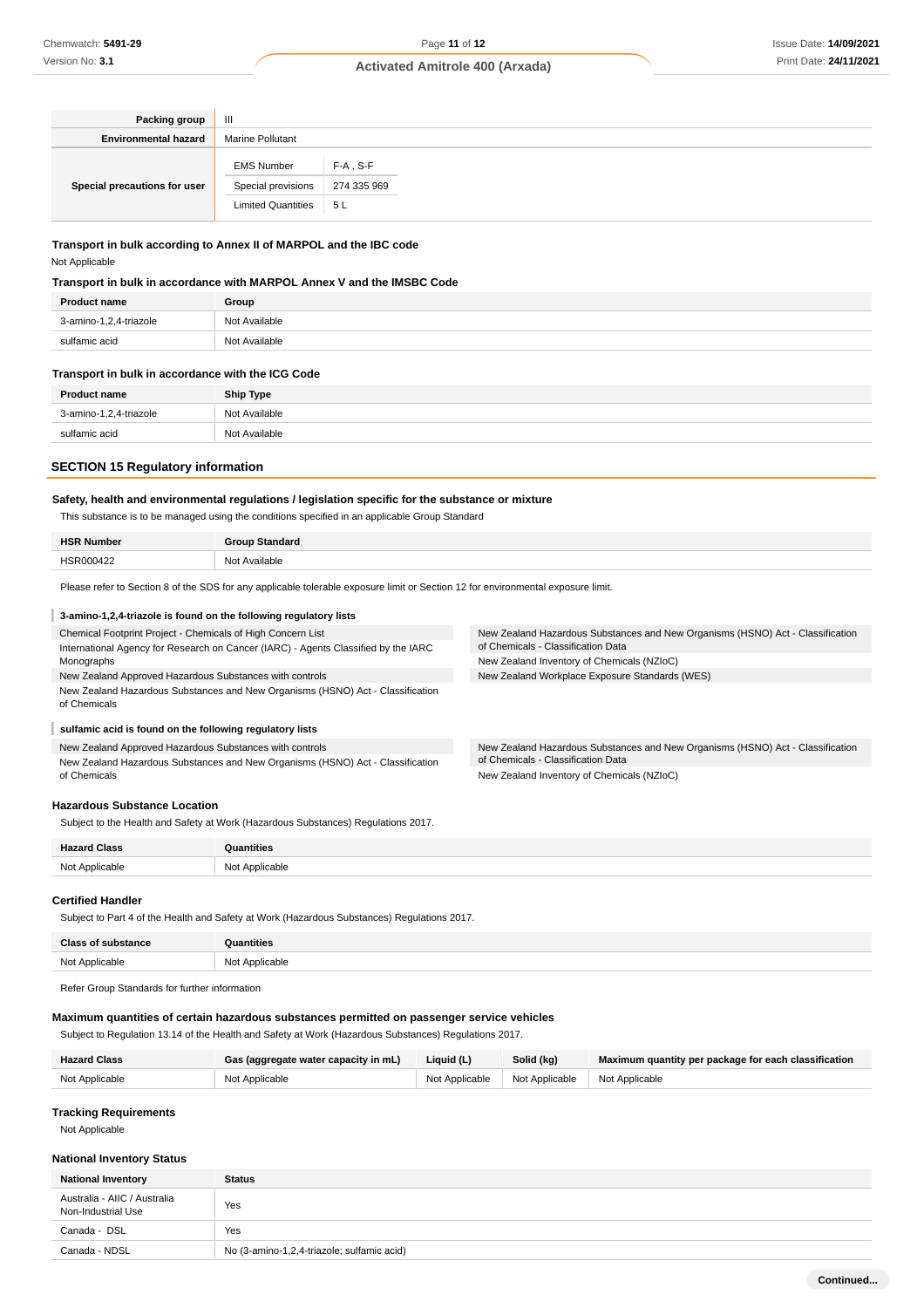| Packing group                | Ш                                                                    |                                   |  |
|------------------------------|----------------------------------------------------------------------|-----------------------------------|--|
| <b>Environmental hazard</b>  | <b>Marine Pollutant</b>                                              |                                   |  |
| Special precautions for user | <b>EMS Number</b><br>Special provisions<br><b>Limited Quantities</b> | $F-A$ , S-F<br>274 335 969<br>5 L |  |

## **Transport in bulk according to Annex II of MARPOL and the IBC code** Not Applicable

#### **Transport in bulk in accordance with MARPOL Annex V and the IMSBC Code**

| 3-amino-1,2,4-triazole<br>Not Available | <b>Product name</b> |
|-----------------------------------------|---------------------|
|                                         |                     |
| sulfamic acid<br>Not Available          |                     |

#### **Transport in bulk in accordance with the ICG Code**

| <b>Product name</b>    | <b>Ship Type</b> |
|------------------------|------------------|
| 3-amino-1,2,4-triazole | Not Available    |
| sulfamic acid          | Not Available    |

## **SECTION 15 Regulatory information**

## **Safety, health and environmental regulations / legislation specific for the substance or mixture**

This substance is to be managed using the conditions specified in an applicable Group Standard

Please refer to Section 8 of the SDS for any applicable tolerable exposure limit or Section 12 for environmental exposure limit.

#### **3-amino-1,2,4-triazole is found on the following regulatory lists**

| Chemical Footprint Project - Chemicals of High Concern List                                    | New Zealand Hazardous Substances and New Organisms (HSNO) Act - Classification |
|------------------------------------------------------------------------------------------------|--------------------------------------------------------------------------------|
| International Agency for Research on Cancer (IARC) - Agents Classified by the IARC             | of Chemicals - Classification Data                                             |
| Monographs                                                                                     | New Zealand Inventory of Chemicals (NZIoC)                                     |
| New Zealand Approved Hazardous Substances with controls                                        | New Zealand Workplace Exposure Standards (WES)                                 |
| New Zealand Hazardous Substances and New Organisms (HSNO) Act - Classification<br>of Chemicals |                                                                                |
| sulfamic acid is found on the following regulatory lists                                       |                                                                                |

# New Zealand Approved Hazardous Substances with controls

New Zealand Hazardous Substances and New Organisms (HSNO) Act - Classification of Chemicals

New Zealand Hazardous Substances and New Organisms (HSNO) Act - Classification of Chemicals - Classification Data New Zealand Inventory of Chemicals (NZIoC)

#### **Hazardous Substance Location**

Subject to the Health and Safety at Work (Hazardous Substances) Regulations 2017.

| $\blacksquare$<br>. | ntities                         |
|---------------------|---------------------------------|
| .<br>.              | N <sub>IO</sub><br>$\cdot$<br>. |

#### **Certified Handler**

Subject to Part 4 of the Health and Safety at Work (Hazardous Substances) Regulations 2017.

| <b>Class of substance</b> | <b>Quantities</b> |
|---------------------------|-------------------|
| Not Applicable            | Not Applicable    |

Refer Group Standards for further information

## **Maximum quantities of certain hazardous substances permitted on passenger service vehicles**

Subject to Regulation 13.14 of the Health and Safety at Work (Hazardous Substances) Regulations 2017.

| <b>Hazard Class</b> | Gas (aggregate water capacity in mL) | Liquid (L)     | Solid (kg)     | Maximum quantity per package for each classification |
|---------------------|--------------------------------------|----------------|----------------|------------------------------------------------------|
| Not Applicable      | Not Applicable                       | Not Applicable | Not Applicable | Not Applicable                                       |

## **Tracking Requirements**

Not Applicable

## **National Inventory Status**

| <b>National Inventory</b>                          | <b>Status</b>                              |  |
|----------------------------------------------------|--------------------------------------------|--|
| Australia - AIIC / Australia<br>Non-Industrial Use | Yes                                        |  |
| Canada - DSL                                       | Yes                                        |  |
| Canada - NDSL                                      | No (3-amino-1,2,4-triazole; sulfamic acid) |  |